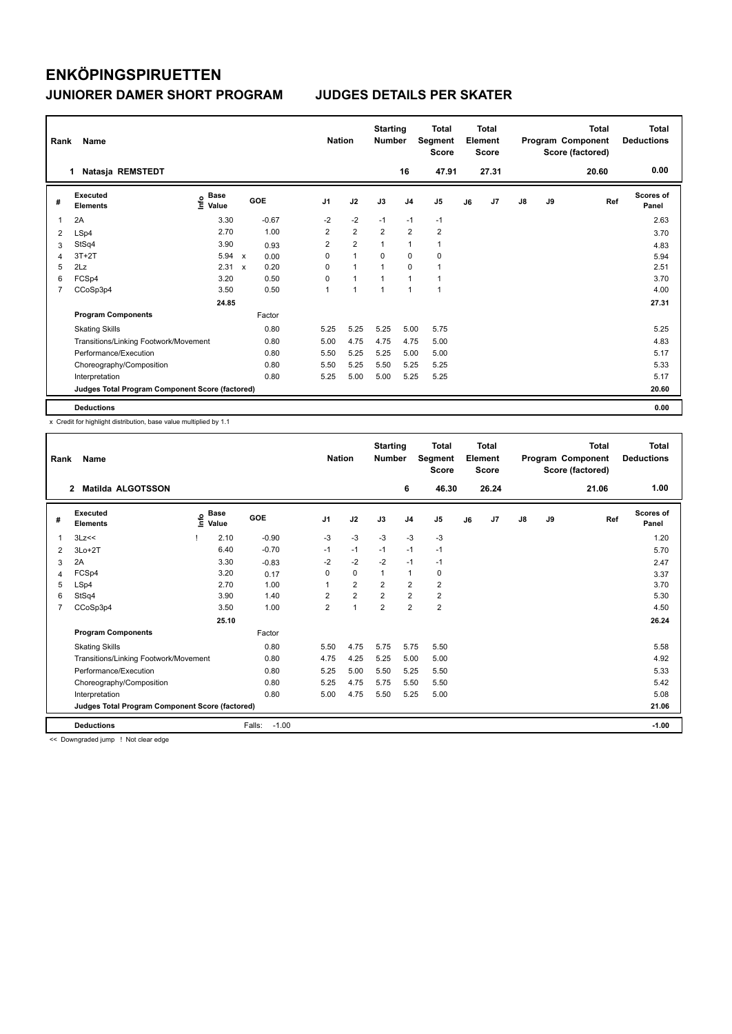| Rank           | Name                                            |                                  |                           | <b>Nation</b> | <b>Starting</b><br><b>Number</b> |                | <b>Total</b><br><b>Segment</b><br><b>Score</b> |                | <b>Total</b><br>Element<br><b>Score</b> |    |       | <b>Total</b><br>Program Component<br>Score (factored) | Total<br><b>Deductions</b> |       |                           |
|----------------|-------------------------------------------------|----------------------------------|---------------------------|---------------|----------------------------------|----------------|------------------------------------------------|----------------|-----------------------------------------|----|-------|-------------------------------------------------------|----------------------------|-------|---------------------------|
|                | Natasja REMSTEDT<br>1                           |                                  |                           |               |                                  |                |                                                | 16             | 47.91                                   |    | 27.31 |                                                       |                            | 20.60 | 0.00                      |
| #              | Executed<br><b>Elements</b>                     | <b>Base</b><br>e Base<br>E Value |                           | <b>GOE</b>    | J <sub>1</sub>                   | J2             | J3                                             | J <sub>4</sub> | J <sub>5</sub>                          | J6 | J7    | $\mathsf{J}8$                                         | J9                         | Ref   | <b>Scores of</b><br>Panel |
| 1              | 2A                                              | 3.30                             |                           | $-0.67$       | $-2$                             | $-2$           | $-1$                                           | $-1$           | $-1$                                    |    |       |                                                       |                            |       | 2.63                      |
| 2              | LSp4                                            | 2.70                             |                           | 1.00          | $\overline{2}$                   | $\overline{2}$ | $\overline{2}$                                 | $\overline{2}$ | $\overline{2}$                          |    |       |                                                       |                            |       | 3.70                      |
| 3              | StSq4                                           | 3.90                             |                           | 0.93          | $\overline{2}$                   | $\overline{2}$ | 1                                              | $\mathbf{1}$   | $\mathbf{1}$                            |    |       |                                                       |                            |       | 4.83                      |
| 4              | $3T+2T$                                         | 5.94                             | $\mathsf{x}$              | 0.00          | 0                                | $\mathbf{1}$   | $\Omega$                                       | 0              | 0                                       |    |       |                                                       |                            |       | 5.94                      |
| 5              | 2Lz                                             | 2.31                             | $\boldsymbol{\mathsf{x}}$ | 0.20          | 0                                | $\mathbf{1}$   | 1                                              | $\Omega$       | 1                                       |    |       |                                                       |                            |       | 2.51                      |
| 6              | FCSp4                                           | 3.20                             |                           | 0.50          | 0                                | $\mathbf{1}$   | 1                                              | $\overline{1}$ | 1                                       |    |       |                                                       |                            |       | 3.70                      |
| $\overline{7}$ | CCoSp3p4                                        | 3.50                             |                           | 0.50          | 1                                | 1              | 1                                              | 1              | $\mathbf{1}$                            |    |       |                                                       |                            |       | 4.00                      |
|                |                                                 | 24.85                            |                           |               |                                  |                |                                                |                |                                         |    |       |                                                       |                            |       | 27.31                     |
|                | <b>Program Components</b>                       |                                  |                           | Factor        |                                  |                |                                                |                |                                         |    |       |                                                       |                            |       |                           |
|                | <b>Skating Skills</b>                           |                                  |                           | 0.80          | 5.25                             | 5.25           | 5.25                                           | 5.00           | 5.75                                    |    |       |                                                       |                            |       | 5.25                      |
|                | Transitions/Linking Footwork/Movement           |                                  |                           | 0.80          | 5.00                             | 4.75           | 4.75                                           | 4.75           | 5.00                                    |    |       |                                                       |                            |       | 4.83                      |
|                | Performance/Execution                           |                                  |                           | 0.80          | 5.50                             | 5.25           | 5.25                                           | 5.00           | 5.00                                    |    |       |                                                       |                            |       | 5.17                      |
|                | Choreography/Composition                        |                                  |                           | 0.80          | 5.50                             | 5.25           | 5.50                                           | 5.25           | 5.25                                    |    |       |                                                       |                            |       | 5.33                      |
|                | Interpretation                                  |                                  |                           | 0.80          | 5.25                             | 5.00           | 5.00                                           | 5.25           | 5.25                                    |    |       |                                                       |                            |       | 5.17                      |
|                | Judges Total Program Component Score (factored) |                                  |                           |               |                                  |                |                                                |                |                                         |    |       |                                                       |                            |       | 20.60                     |
|                | <b>Deductions</b>                               |                                  |                           |               |                                  |                |                                                |                |                                         |    |       |                                                       |                            |       | 0.00                      |

x Credit for highlight distribution, base value multiplied by 1.1

| Rank           | Name                                            |    | <b>Nation</b>        |                   | <b>Starting</b><br><b>Number</b> |                | <b>Total</b><br>Segment<br><b>Score</b> |                | <b>Total</b><br>Element<br><b>Score</b> |    |       | Total<br>Program Component<br>Score (factored) | <b>Total</b><br><b>Deductions</b> |       |                    |
|----------------|-------------------------------------------------|----|----------------------|-------------------|----------------------------------|----------------|-----------------------------------------|----------------|-----------------------------------------|----|-------|------------------------------------------------|-----------------------------------|-------|--------------------|
|                | $\mathbf{2}$<br><b>Matilda ALGOTSSON</b>        |    |                      |                   |                                  |                |                                         | 6              | 46.30                                   |    | 26.24 |                                                |                                   | 21.06 | 1.00               |
| #              | Executed<br><b>Elements</b>                     | ۴٥ | <b>Base</b><br>Value | GOE               | J <sub>1</sub>                   | J2             | J3                                      | J <sub>4</sub> | J <sub>5</sub>                          | J6 | J7    | J8                                             | J9                                | Ref   | Scores of<br>Panel |
| 1              | 3Lz<<                                           |    | 2.10                 | $-0.90$           | $-3$                             | $-3$           | $-3$                                    | $-3$           | $-3$                                    |    |       |                                                |                                   |       | 1.20               |
| 2              | $3Lo+2T$                                        |    | 6.40                 | $-0.70$           | $-1$                             | $-1$           | $-1$                                    | $-1$           | $-1$                                    |    |       |                                                |                                   |       | 5.70               |
| 3              | 2A                                              |    | 3.30                 | $-0.83$           | $-2$                             | $-2$           | $-2$                                    | $-1$           | $-1$                                    |    |       |                                                |                                   |       | 2.47               |
| 4              | FCSp4                                           |    | 3.20                 | 0.17              | 0                                | 0              | 1                                       | $\mathbf{1}$   | 0                                       |    |       |                                                |                                   |       | 3.37               |
| 5              | LSp4                                            |    | 2.70                 | 1.00              | 1                                | $\overline{2}$ | $\overline{2}$                          | $\overline{2}$ | $\overline{2}$                          |    |       |                                                |                                   |       | 3.70               |
| 6              | StSq4                                           |    | 3.90                 | 1.40              | $\overline{2}$                   | $\overline{2}$ | 2                                       | $\overline{2}$ | $\overline{\mathbf{c}}$                 |    |       |                                                |                                   |       | 5.30               |
| $\overline{7}$ | CCoSp3p4                                        |    | 3.50                 | 1.00              | $\overline{2}$                   | 1              | $\overline{2}$                          | $\overline{2}$ | $\overline{2}$                          |    |       |                                                |                                   |       | 4.50               |
|                |                                                 |    | 25.10                |                   |                                  |                |                                         |                |                                         |    |       |                                                |                                   |       | 26.24              |
|                | <b>Program Components</b>                       |    |                      | Factor            |                                  |                |                                         |                |                                         |    |       |                                                |                                   |       |                    |
|                | <b>Skating Skills</b>                           |    |                      | 0.80              | 5.50                             | 4.75           | 5.75                                    | 5.75           | 5.50                                    |    |       |                                                |                                   |       | 5.58               |
|                | Transitions/Linking Footwork/Movement           |    |                      | 0.80              | 4.75                             | 4.25           | 5.25                                    | 5.00           | 5.00                                    |    |       |                                                |                                   |       | 4.92               |
|                | Performance/Execution                           |    |                      | 0.80              | 5.25                             | 5.00           | 5.50                                    | 5.25           | 5.50                                    |    |       |                                                |                                   |       | 5.33               |
|                | Choreography/Composition                        |    |                      | 0.80              | 5.25                             | 4.75           | 5.75                                    | 5.50           | 5.50                                    |    |       |                                                |                                   |       | 5.42               |
|                | Interpretation                                  |    |                      | 0.80              | 5.00                             | 4.75           | 5.50                                    | 5.25           | 5.00                                    |    |       |                                                |                                   |       | 5.08               |
|                | Judges Total Program Component Score (factored) |    |                      |                   |                                  |                |                                         |                |                                         |    |       |                                                |                                   |       | 21.06              |
|                | <b>Deductions</b>                               |    |                      | $-1.00$<br>Falls: |                                  |                |                                         |                |                                         |    |       |                                                |                                   |       | $-1.00$            |

<< Downgraded jump ! Not clear edge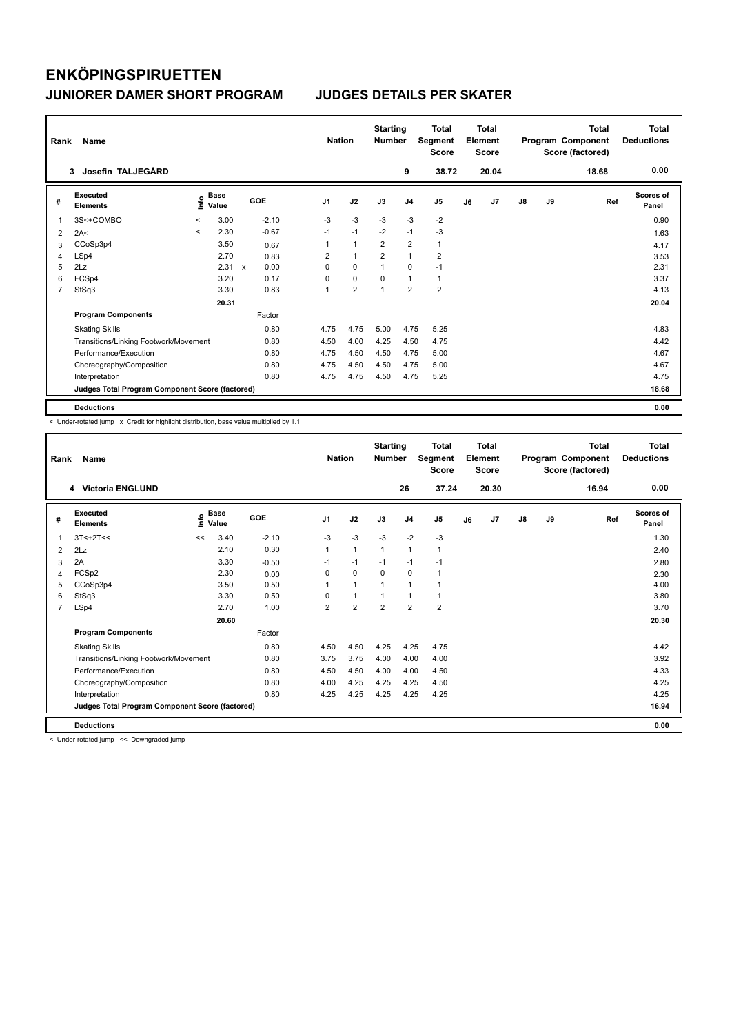| Rank           | Name                                            |         |                      | <b>Nation</b>             | <b>Starting</b><br><b>Number</b> |                | <b>Total</b><br>Segment<br><b>Score</b> |                | <b>Total</b><br>Element<br>Score |                         |    | <b>Total</b><br>Program Component<br>Score (factored) | <b>Total</b><br><b>Deductions</b> |    |       |                           |
|----------------|-------------------------------------------------|---------|----------------------|---------------------------|----------------------------------|----------------|-----------------------------------------|----------------|----------------------------------|-------------------------|----|-------------------------------------------------------|-----------------------------------|----|-------|---------------------------|
|                | Josefin TALJEGÅRD<br>3                          |         |                      |                           |                                  |                |                                         |                | 9                                | 38.72                   |    | 20.04                                                 |                                   |    | 18.68 | 0.00                      |
| #              | Executed<br><b>Elements</b>                     | e       | <b>Base</b><br>Value |                           | GOE                              | J <sub>1</sub> | J2                                      | J3             | J <sub>4</sub>                   | J5                      | J6 | J <sub>7</sub>                                        | J8                                | J9 | Ref   | <b>Scores of</b><br>Panel |
|                | 3S<+COMBO                                       | $\prec$ | 3.00                 |                           | $-2.10$                          | $-3$           | $-3$                                    | $-3$           | $-3$                             | $-2$                    |    |                                                       |                                   |    |       | 0.90                      |
| $\overline{2}$ | 2A<                                             | $\prec$ | 2.30                 |                           | $-0.67$                          | $-1$           | $-1$                                    | $-2$           | $-1$                             | $-3$                    |    |                                                       |                                   |    |       | 1.63                      |
| 3              | CCoSp3p4                                        |         | 3.50                 |                           | 0.67                             |                | $\overline{1}$                          | $\overline{2}$ | $\overline{2}$                   | $\mathbf{1}$            |    |                                                       |                                   |    |       | 4.17                      |
| 4              | LSp4                                            |         | 2.70                 |                           | 0.83                             | 2              | $\mathbf{1}$                            | $\overline{2}$ | $\mathbf{1}$                     | $\overline{\mathbf{c}}$ |    |                                                       |                                   |    |       | 3.53                      |
| 5              | 2Lz                                             |         | 2.31                 | $\boldsymbol{\mathsf{x}}$ | 0.00                             | $\Omega$       | 0                                       |                | 0                                | $-1$                    |    |                                                       |                                   |    |       | 2.31                      |
| 6              | FCSp4                                           |         | 3.20                 |                           | 0.17                             | $\Omega$       | $\mathbf 0$                             | 0              | $\mathbf{1}$                     | $\mathbf{1}$            |    |                                                       |                                   |    |       | 3.37                      |
| 7              | StSq3                                           |         | 3.30                 |                           | 0.83                             | $\overline{1}$ | $\overline{2}$                          | 1              | $\overline{2}$                   | $\overline{\mathbf{c}}$ |    |                                                       |                                   |    |       | 4.13                      |
|                |                                                 |         | 20.31                |                           |                                  |                |                                         |                |                                  |                         |    |                                                       |                                   |    |       | 20.04                     |
|                | <b>Program Components</b>                       |         |                      |                           | Factor                           |                |                                         |                |                                  |                         |    |                                                       |                                   |    |       |                           |
|                | <b>Skating Skills</b>                           |         |                      |                           | 0.80                             | 4.75           | 4.75                                    | 5.00           | 4.75                             | 5.25                    |    |                                                       |                                   |    |       | 4.83                      |
|                | Transitions/Linking Footwork/Movement           |         |                      |                           | 0.80                             | 4.50           | 4.00                                    | 4.25           | 4.50                             | 4.75                    |    |                                                       |                                   |    |       | 4.42                      |
|                | Performance/Execution                           |         |                      |                           | 0.80                             | 4.75           | 4.50                                    | 4.50           | 4.75                             | 5.00                    |    |                                                       |                                   |    |       | 4.67                      |
|                | Choreography/Composition                        |         |                      |                           | 0.80                             | 4.75           | 4.50                                    | 4.50           | 4.75                             | 5.00                    |    |                                                       |                                   |    |       | 4.67                      |
|                | Interpretation                                  |         |                      |                           | 0.80                             | 4.75           | 4.75                                    | 4.50           | 4.75                             | 5.25                    |    |                                                       |                                   |    |       | 4.75                      |
|                | Judges Total Program Component Score (factored) |         |                      |                           |                                  |                |                                         |                |                                  |                         |    |                                                       |                                   |    |       | 18.68                     |
|                | <b>Deductions</b>                               |         |                      |                           |                                  |                |                                         |                |                                  |                         |    |                                                       |                                   |    |       | 0.00                      |

< Under-rotated jump x Credit for highlight distribution, base value multiplied by 1.1

| Rank | Name                                            |    |                      | <b>Nation</b> |                | <b>Starting</b><br><b>Number</b> |                | <b>Total</b><br>Segment<br><b>Score</b> |                | Total<br>Element<br><b>Score</b> |       |               | Total<br>Program Component<br>Score (factored) | <b>Total</b><br><b>Deductions</b> |                    |
|------|-------------------------------------------------|----|----------------------|---------------|----------------|----------------------------------|----------------|-----------------------------------------|----------------|----------------------------------|-------|---------------|------------------------------------------------|-----------------------------------|--------------------|
|      | <b>Victoria ENGLUND</b><br>4                    |    |                      |               |                |                                  |                | 26                                      | 37.24          |                                  | 20.30 |               |                                                | 16.94                             | 0.00               |
| #    | Executed<br><b>Elements</b>                     | ۴٥ | <b>Base</b><br>Value | GOE           | J <sub>1</sub> | J2                               | J3             | J <sub>4</sub>                          | J <sub>5</sub> | J6                               | J7    | $\mathsf{J}8$ | J9                                             | Ref                               | Scores of<br>Panel |
| 1    | $3T<+2T<$                                       | << | 3.40                 | $-2.10$       | $-3$           | $-3$                             | $-3$           | $-2$                                    | $-3$           |                                  |       |               |                                                |                                   | 1.30               |
| 2    | 2Lz                                             |    | 2.10                 | 0.30          | 1              | $\mathbf{1}$                     | $\mathbf{1}$   | $\mathbf{1}$                            | $\mathbf{1}$   |                                  |       |               |                                                |                                   | 2.40               |
| 3    | 2A                                              |    | 3.30                 | $-0.50$       | $-1$           | $-1$                             | $-1$           | $-1$                                    | $-1$           |                                  |       |               |                                                |                                   | 2.80               |
| 4    | FCSp2                                           |    | 2.30                 | 0.00          | $\Omega$       | $\Omega$                         | $\Omega$       | $\Omega$                                | 1              |                                  |       |               |                                                |                                   | 2.30               |
| 5    | CCoSp3p4                                        |    | 3.50                 | 0.50          |                | $\mathbf{1}$                     | 1              | $\mathbf{1}$                            | 1              |                                  |       |               |                                                |                                   | 4.00               |
| 6    | StSq3                                           |    | 3.30                 | 0.50          | <sup>0</sup>   | $\mathbf{1}$                     | 1              | 1                                       | 1              |                                  |       |               |                                                |                                   | 3.80               |
| 7    | LSp4                                            |    | 2.70                 | 1.00          | 2              | $\overline{2}$                   | $\overline{2}$ | $\overline{2}$                          | $\overline{2}$ |                                  |       |               |                                                |                                   | 3.70               |
|      |                                                 |    | 20.60                |               |                |                                  |                |                                         |                |                                  |       |               |                                                |                                   | 20.30              |
|      | <b>Program Components</b>                       |    |                      | Factor        |                |                                  |                |                                         |                |                                  |       |               |                                                |                                   |                    |
|      | <b>Skating Skills</b>                           |    |                      | 0.80          | 4.50           | 4.50                             | 4.25           | 4.25                                    | 4.75           |                                  |       |               |                                                |                                   | 4.42               |
|      | Transitions/Linking Footwork/Movement           |    |                      | 0.80          | 3.75           | 3.75                             | 4.00           | 4.00                                    | 4.00           |                                  |       |               |                                                |                                   | 3.92               |
|      | Performance/Execution                           |    |                      | 0.80          | 4.50           | 4.50                             | 4.00           | 4.00                                    | 4.50           |                                  |       |               |                                                |                                   | 4.33               |
|      | Choreography/Composition                        |    |                      | 0.80          | 4.00           | 4.25                             | 4.25           | 4.25                                    | 4.50           |                                  |       |               |                                                |                                   | 4.25               |
|      | Interpretation                                  |    |                      | 0.80          | 4.25           | 4.25                             | 4.25           | 4.25                                    | 4.25           |                                  |       |               |                                                |                                   | 4.25               |
|      | Judges Total Program Component Score (factored) |    |                      |               |                |                                  |                |                                         |                |                                  |       |               |                                                |                                   | 16.94              |
|      | <b>Deductions</b>                               |    |                      |               |                |                                  |                |                                         |                |                                  |       |               |                                                |                                   | 0.00               |

< Under-rotated jump << Downgraded jump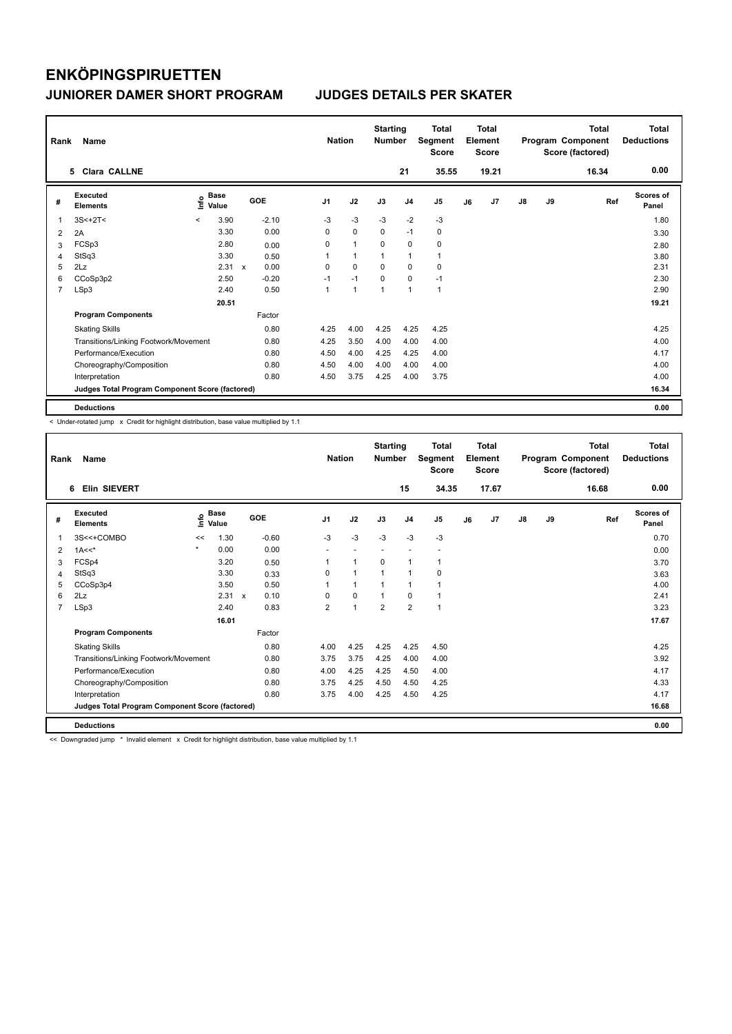| Rank           | Name                                            |         |                      | <b>Nation</b> |         | <b>Starting</b><br><b>Number</b> |      | <b>Total</b><br>Segment<br><b>Score</b> |                | <b>Total</b><br>Element<br><b>Score</b> |              |    | <b>Total</b><br>Program Component<br>Score (factored) | Total<br><b>Deductions</b> |    |       |                           |
|----------------|-------------------------------------------------|---------|----------------------|---------------|---------|----------------------------------|------|-----------------------------------------|----------------|-----------------------------------------|--------------|----|-------------------------------------------------------|----------------------------|----|-------|---------------------------|
|                | 5 Clara CALLNE                                  |         |                      |               |         |                                  |      |                                         |                | 21                                      | 35.55        |    | 19.21                                                 |                            |    | 16.34 | 0.00                      |
| #              | Executed<br><b>Elements</b>                     | ١nf٥    | <b>Base</b><br>Value |               | GOE     | J <sub>1</sub>                   |      | J2                                      | J3             | J <sub>4</sub>                          | J5           | J6 | J <sub>7</sub>                                        | $\mathsf{J}8$              | J9 | Ref   | <b>Scores of</b><br>Panel |
| 1              | $3S<+2T<$                                       | $\prec$ | 3.90                 |               | $-2.10$ |                                  | $-3$ | $-3$                                    | $-3$           | $-2$                                    | $-3$         |    |                                                       |                            |    |       | 1.80                      |
| 2              | 2A                                              |         | 3.30                 |               | 0.00    |                                  | 0    | $\mathbf 0$                             | $\Omega$       | $-1$                                    | $\mathbf 0$  |    |                                                       |                            |    |       | 3.30                      |
| 3              | FCSp3                                           |         | 2.80                 |               | 0.00    |                                  | 0    | $\overline{1}$                          | 0              | 0                                       | 0            |    |                                                       |                            |    |       | 2.80                      |
| 4              | StSq3                                           |         | 3.30                 |               | 0.50    | 1                                |      | $\overline{1}$                          | $\overline{1}$ | $\mathbf{1}$                            | 1            |    |                                                       |                            |    |       | 3.80                      |
| 5              | 2Lz                                             |         | 2.31                 | $\mathbf{x}$  | 0.00    |                                  | 0    | $\Omega$                                | $\Omega$       | $\mathbf 0$                             | 0            |    |                                                       |                            |    |       | 2.31                      |
| 6              | CCoSp3p2                                        |         | 2.50                 |               | $-0.20$ |                                  | $-1$ | $-1$                                    | 0              | $\mathbf 0$                             | $-1$         |    |                                                       |                            |    |       | 2.30                      |
| $\overline{7}$ | LSp3                                            |         | 2.40                 |               | 0.50    | 1                                |      | $\overline{1}$                          | $\overline{1}$ | $\mathbf{1}$                            | $\mathbf{1}$ |    |                                                       |                            |    |       | 2.90                      |
|                |                                                 |         | 20.51                |               |         |                                  |      |                                         |                |                                         |              |    |                                                       |                            |    |       | 19.21                     |
|                | <b>Program Components</b>                       |         |                      |               | Factor  |                                  |      |                                         |                |                                         |              |    |                                                       |                            |    |       |                           |
|                | <b>Skating Skills</b>                           |         |                      |               | 0.80    |                                  | 4.25 | 4.00                                    | 4.25           | 4.25                                    | 4.25         |    |                                                       |                            |    |       | 4.25                      |
|                | Transitions/Linking Footwork/Movement           |         |                      |               | 0.80    |                                  | 4.25 | 3.50                                    | 4.00           | 4.00                                    | 4.00         |    |                                                       |                            |    |       | 4.00                      |
|                | Performance/Execution                           |         |                      |               | 0.80    |                                  | 4.50 | 4.00                                    | 4.25           | 4.25                                    | 4.00         |    |                                                       |                            |    |       | 4.17                      |
|                | Choreography/Composition                        |         |                      |               | 0.80    |                                  | 4.50 | 4.00                                    | 4.00           | 4.00                                    | 4.00         |    |                                                       |                            |    |       | 4.00                      |
|                | Interpretation                                  |         |                      |               | 0.80    |                                  | 4.50 | 3.75                                    | 4.25           | 4.00                                    | 3.75         |    |                                                       |                            |    |       | 4.00                      |
|                | Judges Total Program Component Score (factored) |         |                      |               |         |                                  |      |                                         |                |                                         |              |    |                                                       |                            |    |       | 16.34                     |
|                | <b>Deductions</b>                               |         |                      |               |         |                                  |      |                                         |                |                                         |              |    |                                                       |                            |    |       | 0.00                      |

< Under-rotated jump x Credit for highlight distribution, base value multiplied by 1.1

| Rank | Name                                            |         | <b>Nation</b>        |         | <b>Starting</b><br><b>Number</b> |  | <b>Total</b><br>Segment<br><b>Score</b> |                          | Total<br>Element<br><b>Score</b> |                          |    | Total<br>Program Component<br>Score (factored) | <b>Total</b><br><b>Deductions</b> |    |       |                           |
|------|-------------------------------------------------|---------|----------------------|---------|----------------------------------|--|-----------------------------------------|--------------------------|----------------------------------|--------------------------|----|------------------------------------------------|-----------------------------------|----|-------|---------------------------|
|      | Elin SIEVERT<br>6                               |         |                      |         |                                  |  |                                         |                          | 15                               | 34.35                    |    | 17.67                                          |                                   |    | 16.68 | 0.00                      |
| #    | Executed<br><b>Elements</b>                     | lnfo    | <b>Base</b><br>Value | GOE     | J <sub>1</sub>                   |  | J2                                      | J3                       | J <sub>4</sub>                   | J <sub>5</sub>           | J6 | J7                                             | $\mathsf{J}8$                     | J9 | Ref   | <b>Scores of</b><br>Panel |
| 1    | 3S<<+COMBO                                      | <<      | 1.30                 | $-0.60$ | $-3$                             |  | $-3$                                    | $-3$                     | $-3$                             | $-3$                     |    |                                                |                                   |    |       | 0.70                      |
| 2    | $1A<<^*$                                        | $\star$ | 0.00                 | 0.00    |                                  |  |                                         | $\overline{\phantom{a}}$ | $\overline{\phantom{a}}$         | $\overline{\phantom{a}}$ |    |                                                |                                   |    |       | 0.00                      |
| 3    | FCSp4                                           |         | 3.20                 | 0.50    | 1                                |  | 1                                       | $\Omega$                 | $\mathbf{1}$                     | 1                        |    |                                                |                                   |    |       | 3.70                      |
| 4    | StSq3                                           |         | 3.30                 | 0.33    | $\Omega$                         |  | $\mathbf{1}$                            | 1                        | $\mathbf{1}$                     | 0                        |    |                                                |                                   |    |       | 3.63                      |
| 5    | CCoSp3p4                                        |         | 3.50                 | 0.50    | 1                                |  | 1                                       | 1                        | $\mathbf{1}$                     | 1                        |    |                                                |                                   |    |       | 4.00                      |
| 6    | 2Lz                                             |         | $2.31 \times$        | 0.10    | $\Omega$                         |  | 0                                       | 1                        | $\mathbf 0$                      | 1                        |    |                                                |                                   |    |       | 2.41                      |
| 7    | LSp3                                            |         | 2.40                 | 0.83    | $\overline{2}$                   |  | $\mathbf{1}$                            | $\overline{2}$           | $\overline{2}$                   | $\mathbf{1}$             |    |                                                |                                   |    |       | 3.23                      |
|      |                                                 |         | 16.01                |         |                                  |  |                                         |                          |                                  |                          |    |                                                |                                   |    |       | 17.67                     |
|      | <b>Program Components</b>                       |         |                      | Factor  |                                  |  |                                         |                          |                                  |                          |    |                                                |                                   |    |       |                           |
|      | <b>Skating Skills</b>                           |         |                      | 0.80    | 4.00                             |  | 4.25                                    | 4.25                     | 4.25                             | 4.50                     |    |                                                |                                   |    |       | 4.25                      |
|      | Transitions/Linking Footwork/Movement           |         |                      | 0.80    | 3.75                             |  | 3.75                                    | 4.25                     | 4.00                             | 4.00                     |    |                                                |                                   |    |       | 3.92                      |
|      | Performance/Execution                           |         |                      | 0.80    | 4.00                             |  | 4.25                                    | 4.25                     | 4.50                             | 4.00                     |    |                                                |                                   |    |       | 4.17                      |
|      | Choreography/Composition                        |         |                      | 0.80    | 3.75                             |  | 4.25                                    | 4.50                     | 4.50                             | 4.25                     |    |                                                |                                   |    |       | 4.33                      |
|      | Interpretation                                  |         |                      | 0.80    | 3.75                             |  | 4.00                                    | 4.25                     | 4.50                             | 4.25                     |    |                                                |                                   |    |       | 4.17                      |
|      | Judges Total Program Component Score (factored) |         |                      |         |                                  |  |                                         |                          |                                  |                          |    |                                                |                                   |    |       | 16.68                     |
|      | <b>Deductions</b>                               |         |                      |         |                                  |  |                                         |                          |                                  |                          |    |                                                |                                   |    |       | 0.00                      |

<< Downgraded jump \* Invalid element x Credit for highlight distribution, base value multiplied by 1.1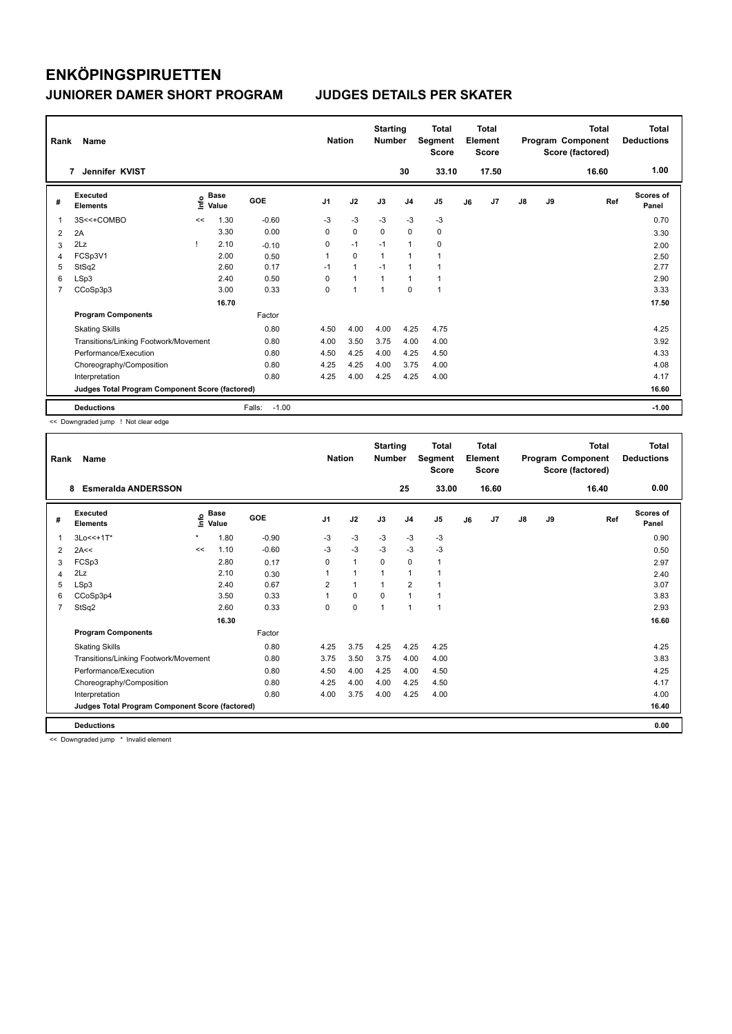| Rank           | Name                                            |      |               |                   | <b>Nation</b>  |                      | <b>Starting</b><br><b>Number</b> |                | Total<br>Segment<br><b>Score</b> |    | <b>Total</b><br>Element<br><b>Score</b> |               |    | <b>Total</b><br>Program Component<br>Score (factored) | <b>Total</b><br><b>Deductions</b> |
|----------------|-------------------------------------------------|------|---------------|-------------------|----------------|----------------------|----------------------------------|----------------|----------------------------------|----|-----------------------------------------|---------------|----|-------------------------------------------------------|-----------------------------------|
|                | Jennifer KVIST<br>7                             |      |               |                   |                |                      |                                  | 30             | 33.10                            |    | 17.50                                   |               |    | 16.60                                                 | 1.00                              |
| #              | Executed<br><b>Elements</b>                     | ١nf٥ | Base<br>Value | <b>GOE</b>        | J <sub>1</sub> | J2                   | J3                               | J <sub>4</sub> | J <sub>5</sub>                   | J6 | J7                                      | $\mathsf{J}8$ | J9 | Ref                                                   | <b>Scores of</b><br>Panel         |
| $\mathbf{1}$   | 3S<<+COMBO                                      | <<   | 1.30          | $-0.60$           | -3             | $-3$                 | $-3$                             | $-3$           | $-3$                             |    |                                         |               |    |                                                       | 0.70                              |
| 2              | 2A                                              |      | 3.30          | 0.00              | 0              | $\mathbf 0$          | $\mathbf 0$                      | $\mathbf 0$    | 0                                |    |                                         |               |    |                                                       | 3.30                              |
| 3              | 2Lz                                             |      | 2.10          | $-0.10$           | 0              | $-1$                 | $-1$                             | $\mathbf{1}$   | 0                                |    |                                         |               |    |                                                       | 2.00                              |
| $\overline{4}$ | FCSp3V1                                         |      | 2.00          | 0.50              | $\mathbf{1}$   | $\mathbf 0$          | $\mathbf{1}$                     | $\mathbf{1}$   | $\overline{1}$                   |    |                                         |               |    |                                                       | 2.50                              |
| 5              | StSq2                                           |      | 2.60          | 0.17              | $-1$           | $\mathbf{1}$         | $-1$                             | $\mathbf{1}$   | 1                                |    |                                         |               |    |                                                       | 2.77                              |
| 6              | LSp3                                            |      | 2.40          | 0.50              | $\Omega$       | $\blacktriangleleft$ |                                  | $\mathbf{1}$   |                                  |    |                                         |               |    |                                                       | 2.90                              |
| 7              | CCoSp3p3                                        |      | 3.00          | 0.33              | 0              | 1                    | $\overline{1}$                   | 0              | 1                                |    |                                         |               |    |                                                       | 3.33                              |
|                |                                                 |      | 16.70         |                   |                |                      |                                  |                |                                  |    |                                         |               |    |                                                       | 17.50                             |
|                | <b>Program Components</b>                       |      |               | Factor            |                |                      |                                  |                |                                  |    |                                         |               |    |                                                       |                                   |
|                | <b>Skating Skills</b>                           |      |               | 0.80              | 4.50           | 4.00                 | 4.00                             | 4.25           | 4.75                             |    |                                         |               |    |                                                       | 4.25                              |
|                | Transitions/Linking Footwork/Movement           |      |               | 0.80              | 4.00           | 3.50                 | 3.75                             | 4.00           | 4.00                             |    |                                         |               |    |                                                       | 3.92                              |
|                | Performance/Execution                           |      |               | 0.80              | 4.50           | 4.25                 | 4.00                             | 4.25           | 4.50                             |    |                                         |               |    |                                                       | 4.33                              |
|                | Choreography/Composition                        |      |               | 0.80              | 4.25           | 4.25                 | 4.00                             | 3.75           | 4.00                             |    |                                         |               |    |                                                       | 4.08                              |
|                | Interpretation                                  |      |               | 0.80              | 4.25           | 4.00                 | 4.25                             | 4.25           | 4.00                             |    |                                         |               |    |                                                       | 4.17                              |
|                | Judges Total Program Component Score (factored) |      |               |                   |                |                      |                                  |                |                                  |    |                                         |               |    |                                                       | 16.60                             |
|                | <b>Deductions</b>                               |      |               | $-1.00$<br>Falls: |                |                      |                                  |                |                                  |    |                                         |               |    |                                                       | $-1.00$                           |

<< Downgraded jump ! Not clear edge

| Rank           | <b>Name</b>                                     |         | <b>Nation</b>        |            | <b>Starting</b><br><b>Number</b> |              | Total<br>Segment<br><b>Score</b> |                | <b>Total</b><br>Element<br><b>Score</b> |    |       | <b>Total</b><br>Program Component<br>Score (factored) | <b>Total</b><br><b>Deductions</b> |       |                           |
|----------------|-------------------------------------------------|---------|----------------------|------------|----------------------------------|--------------|----------------------------------|----------------|-----------------------------------------|----|-------|-------------------------------------------------------|-----------------------------------|-------|---------------------------|
|                | 8<br><b>Esmeralda ANDERSSON</b>                 |         |                      |            |                                  |              |                                  | 25             | 33.00                                   |    | 16.60 |                                                       |                                   | 16.40 | 0.00                      |
| #              | Executed<br><b>Elements</b>                     | Life    | <b>Base</b><br>Value | <b>GOE</b> | J <sub>1</sub>                   | J2           | J3                               | J <sub>4</sub> | J5                                      | J6 | J7    | $\mathsf{J}8$                                         | J9                                | Ref   | <b>Scores of</b><br>Panel |
| 1              | 3Lo<<+1T*                                       | $\star$ | 1.80                 | $-0.90$    | $-3$                             | $-3$         | $-3$                             | $-3$           | $-3$                                    |    |       |                                                       |                                   |       | 0.90                      |
| 2              | 2A<<                                            | <<      | 1.10                 | $-0.60$    | $-3$                             | $-3$         | $-3$                             | $-3$           | $-3$                                    |    |       |                                                       |                                   |       | 0.50                      |
| 3              | FCSp3                                           |         | 2.80                 | 0.17       | 0                                | $\mathbf{1}$ | 0                                | 0              | 1                                       |    |       |                                                       |                                   |       | 2.97                      |
| 4              | 2Lz                                             |         | 2.10                 | 0.30       | 1                                | $\mathbf{1}$ | $\overline{1}$                   | 1              |                                         |    |       |                                                       |                                   |       | 2.40                      |
| 5              | LSp3                                            |         | 2.40                 | 0.67       | 2                                | 1            | $\mathbf 1$                      | $\overline{2}$ |                                         |    |       |                                                       |                                   |       | 3.07                      |
| 6              | CCoSp3p4                                        |         | 3.50                 | 0.33       | $\mathbf{1}$                     | $\Omega$     | $\Omega$                         | $\mathbf{1}$   |                                         |    |       |                                                       |                                   |       | 3.83                      |
| $\overline{7}$ | StSq2                                           |         | 2.60                 | 0.33       | 0                                | 0            | $\overline{1}$                   | $\mathbf{1}$   | 1                                       |    |       |                                                       |                                   |       | 2.93                      |
|                |                                                 |         | 16.30                |            |                                  |              |                                  |                |                                         |    |       |                                                       |                                   |       | 16.60                     |
|                | <b>Program Components</b>                       |         |                      | Factor     |                                  |              |                                  |                |                                         |    |       |                                                       |                                   |       |                           |
|                | <b>Skating Skills</b>                           |         |                      | 0.80       | 4.25                             | 3.75         | 4.25                             | 4.25           | 4.25                                    |    |       |                                                       |                                   |       | 4.25                      |
|                | Transitions/Linking Footwork/Movement           |         |                      | 0.80       | 3.75                             | 3.50         | 3.75                             | 4.00           | 4.00                                    |    |       |                                                       |                                   |       | 3.83                      |
|                | Performance/Execution                           |         |                      | 0.80       | 4.50                             | 4.00         | 4.25                             | 4.00           | 4.50                                    |    |       |                                                       |                                   |       | 4.25                      |
|                | Choreography/Composition                        |         |                      | 0.80       | 4.25                             | 4.00         | 4.00                             | 4.25           | 4.50                                    |    |       |                                                       |                                   |       | 4.17                      |
|                | Interpretation                                  |         |                      | 0.80       | 4.00                             | 3.75         | 4.00                             | 4.25           | 4.00                                    |    |       |                                                       |                                   |       | 4.00                      |
|                | Judges Total Program Component Score (factored) |         |                      |            |                                  |              |                                  |                |                                         |    |       |                                                       |                                   |       | 16.40                     |
|                | <b>Deductions</b>                               |         |                      |            |                                  |              |                                  |                |                                         |    |       |                                                       |                                   |       | 0.00                      |

<< Downgraded jump \* Invalid element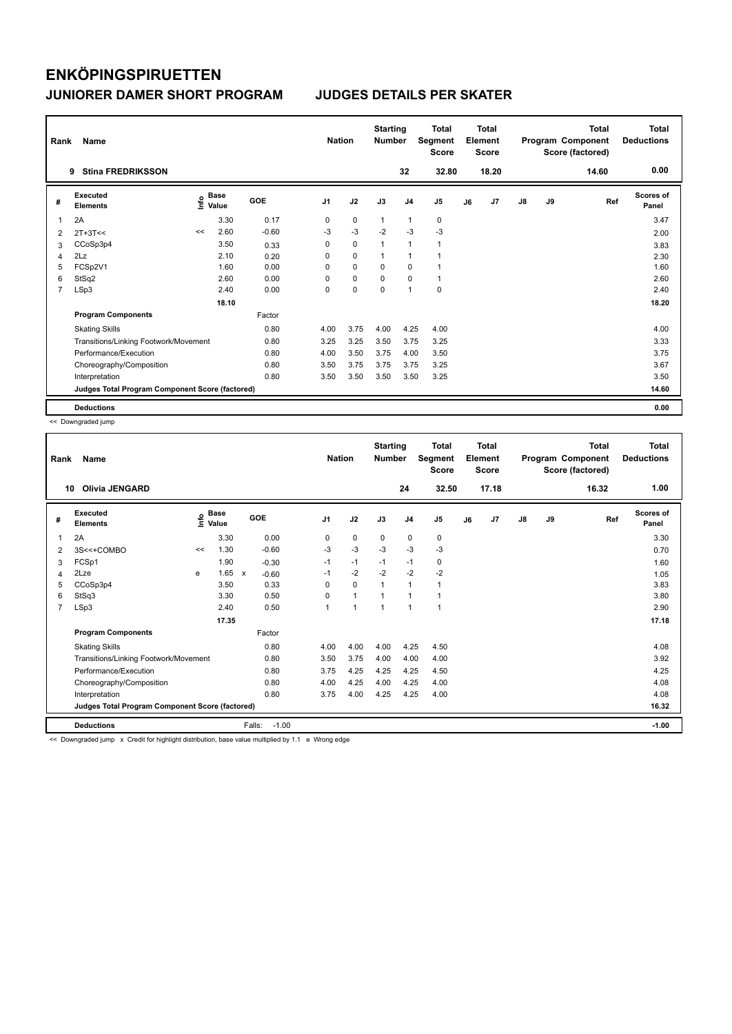| Rank           | Name                                            |    |                                    |         | <b>Nation</b>  |             | <b>Starting</b><br><b>Number</b> |                | Total<br>Segment<br><b>Score</b> |    | <b>Total</b><br>Element<br><b>Score</b> |               |    | <b>Total</b><br>Program Component<br>Score (factored) | Total<br><b>Deductions</b> |
|----------------|-------------------------------------------------|----|------------------------------------|---------|----------------|-------------|----------------------------------|----------------|----------------------------------|----|-----------------------------------------|---------------|----|-------------------------------------------------------|----------------------------|
|                | <b>Stina FREDRIKSSON</b><br>9                   |    |                                    |         |                |             |                                  | 32             | 32.80                            |    | 18.20                                   |               |    | 14.60                                                 | 0.00                       |
| #              | Executed<br><b>Elements</b>                     |    | <b>Base</b><br>$\frac{6}{5}$ Value | GOE     | J <sub>1</sub> | J2          | J3                               | J <sub>4</sub> | J5                               | J6 | J7                                      | $\mathsf{J}8$ | J9 | Ref                                                   | <b>Scores of</b><br>Panel  |
| $\overline{1}$ | 2A                                              |    | 3.30                               | 0.17    | 0              | 0           | $\mathbf{1}$                     | $\mathbf{1}$   | 0                                |    |                                         |               |    |                                                       | 3.47                       |
| 2              | $2T+3T<<$                                       | << | 2.60                               | $-0.60$ | -3             | $-3$        | $-2$                             | $-3$           | $-3$                             |    |                                         |               |    |                                                       | 2.00                       |
| 3              | CCoSp3p4                                        |    | 3.50                               | 0.33    | 0              | 0           |                                  | $\mathbf{1}$   |                                  |    |                                         |               |    |                                                       | 3.83                       |
| 4              | 2Lz                                             |    | 2.10                               | 0.20    | 0              | $\mathbf 0$ | 1                                | $\mathbf{1}$   |                                  |    |                                         |               |    |                                                       | 2.30                       |
| 5              | FCSp2V1                                         |    | 1.60                               | 0.00    | 0              | $\mathbf 0$ | $\Omega$                         | $\mathbf 0$    |                                  |    |                                         |               |    |                                                       | 1.60                       |
| 6              | StSq2                                           |    | 2.60                               | 0.00    | $\Omega$       | $\mathbf 0$ | 0                                | $\mathbf 0$    | 1                                |    |                                         |               |    |                                                       | 2.60                       |
| $\overline{7}$ | LSp3                                            |    | 2.40                               | 0.00    | 0              | $\pmb{0}$   | 0                                | $\mathbf{1}$   | $\pmb{0}$                        |    |                                         |               |    |                                                       | 2.40                       |
|                |                                                 |    | 18.10                              |         |                |             |                                  |                |                                  |    |                                         |               |    |                                                       | 18.20                      |
|                | <b>Program Components</b>                       |    |                                    | Factor  |                |             |                                  |                |                                  |    |                                         |               |    |                                                       |                            |
|                | <b>Skating Skills</b>                           |    |                                    | 0.80    | 4.00           | 3.75        | 4.00                             | 4.25           | 4.00                             |    |                                         |               |    |                                                       | 4.00                       |
|                | Transitions/Linking Footwork/Movement           |    |                                    | 0.80    | 3.25           | 3.25        | 3.50                             | 3.75           | 3.25                             |    |                                         |               |    |                                                       | 3.33                       |
|                | Performance/Execution                           |    |                                    | 0.80    | 4.00           | 3.50        | 3.75                             | 4.00           | 3.50                             |    |                                         |               |    |                                                       | 3.75                       |
|                | Choreography/Composition                        |    |                                    | 0.80    | 3.50           | 3.75        | 3.75                             | 3.75           | 3.25                             |    |                                         |               |    |                                                       | 3.67                       |
|                | Interpretation                                  |    |                                    | 0.80    | 3.50           | 3.50        | 3.50                             | 3.50           | 3.25                             |    |                                         |               |    |                                                       | 3.50                       |
|                | Judges Total Program Component Score (factored) |    |                                    |         |                |             |                                  |                |                                  |    |                                         |               |    |                                                       | 14.60                      |
|                | <b>Deductions</b>                               |    |                                    |         |                |             |                                  |                |                                  |    |                                         |               |    |                                                       | 0.00                       |

<< Downgraded jump

| Rank           | Name                                            |    |                      |                         | <b>Nation</b>  |                      | <b>Starting</b><br><b>Number</b> |                | <b>Total</b><br>Segment<br><b>Score</b> |    | <b>Total</b><br>Element<br><b>Score</b> |               |    | <b>Total</b><br>Program Component<br>Score (factored) | <b>Total</b><br><b>Deductions</b> |
|----------------|-------------------------------------------------|----|----------------------|-------------------------|----------------|----------------------|----------------------------------|----------------|-----------------------------------------|----|-----------------------------------------|---------------|----|-------------------------------------------------------|-----------------------------------|
|                | <b>Olivia JENGARD</b><br>10                     |    |                      |                         |                |                      |                                  | 24             | 32.50                                   |    | 17.18                                   |               |    | 16.32                                                 | 1.00                              |
| #              | Executed<br><b>Elements</b>                     | ۴٥ | <b>Base</b><br>Value | GOE                     | J <sub>1</sub> | J2                   | J3                               | J <sub>4</sub> | J5                                      | J6 | J7                                      | $\mathsf{J}8$ | J9 | Ref                                                   | <b>Scores of</b><br>Panel         |
| 1              | 2A                                              |    | 3.30                 | 0.00                    | 0              | $\mathbf 0$          | 0                                | 0              | 0                                       |    |                                         |               |    |                                                       | 3.30                              |
| 2              | 3S<<+COMBO                                      | << | 1.30                 | $-0.60$                 | $-3$           | $-3$                 | $-3$                             | $-3$           | $-3$                                    |    |                                         |               |    |                                                       | 0.70                              |
| 3              | FCSp1                                           |    | 1.90                 | $-0.30$                 | $-1$           | $-1$                 | $-1$                             | $-1$           | 0                                       |    |                                         |               |    |                                                       | 1.60                              |
| 4              | 2Lze                                            | e  | 1.65                 | $\mathbf{x}$<br>$-0.60$ | $-1$           | $-2$                 | $-2$                             | $-2$           | $-2$                                    |    |                                         |               |    |                                                       | 1.05                              |
| 5              | CCoSp3p4                                        |    | 3.50                 | 0.33                    | $\Omega$       | $\Omega$             |                                  | $\mathbf{1}$   | 1                                       |    |                                         |               |    |                                                       | 3.83                              |
| 6              | StSq3                                           |    | 3.30                 | 0.50                    | 0              | $\mathbf{1}$         |                                  | $\overline{1}$ | 1                                       |    |                                         |               |    |                                                       | 3.80                              |
| $\overline{7}$ | LSp3                                            |    | 2.40                 | 0.50                    | 1              | $\blacktriangleleft$ | 1                                | 1              | 1                                       |    |                                         |               |    |                                                       | 2.90                              |
|                |                                                 |    | 17.35                |                         |                |                      |                                  |                |                                         |    |                                         |               |    |                                                       | 17.18                             |
|                | <b>Program Components</b>                       |    |                      | Factor                  |                |                      |                                  |                |                                         |    |                                         |               |    |                                                       |                                   |
|                | <b>Skating Skills</b>                           |    |                      | 0.80                    | 4.00           | 4.00                 | 4.00                             | 4.25           | 4.50                                    |    |                                         |               |    |                                                       | 4.08                              |
|                | Transitions/Linking Footwork/Movement           |    |                      | 0.80                    | 3.50           | 3.75                 | 4.00                             | 4.00           | 4.00                                    |    |                                         |               |    |                                                       | 3.92                              |
|                | Performance/Execution                           |    |                      | 0.80                    | 3.75           | 4.25                 | 4.25                             | 4.25           | 4.50                                    |    |                                         |               |    |                                                       | 4.25                              |
|                | Choreography/Composition                        |    |                      | 0.80                    | 4.00           | 4.25                 | 4.00                             | 4.25           | 4.00                                    |    |                                         |               |    |                                                       | 4.08                              |
|                | Interpretation                                  |    |                      | 0.80                    | 3.75           | 4.00                 | 4.25                             | 4.25           | 4.00                                    |    |                                         |               |    |                                                       | 4.08                              |
|                | Judges Total Program Component Score (factored) |    |                      |                         |                |                      |                                  |                |                                         |    |                                         |               |    |                                                       | 16.32                             |
|                | <b>Deductions</b>                               |    |                      | Falls:<br>$-1.00$       |                |                      |                                  |                |                                         |    |                                         |               |    |                                                       | $-1.00$                           |
|                | $\sim$ $\cdots$ $\cdots$                        |    |                      |                         |                |                      |                                  |                |                                         |    |                                         |               |    |                                                       |                                   |

ngraded jump x Credit for highlight distribution, base value multiplied by 1.1 e Wrong edge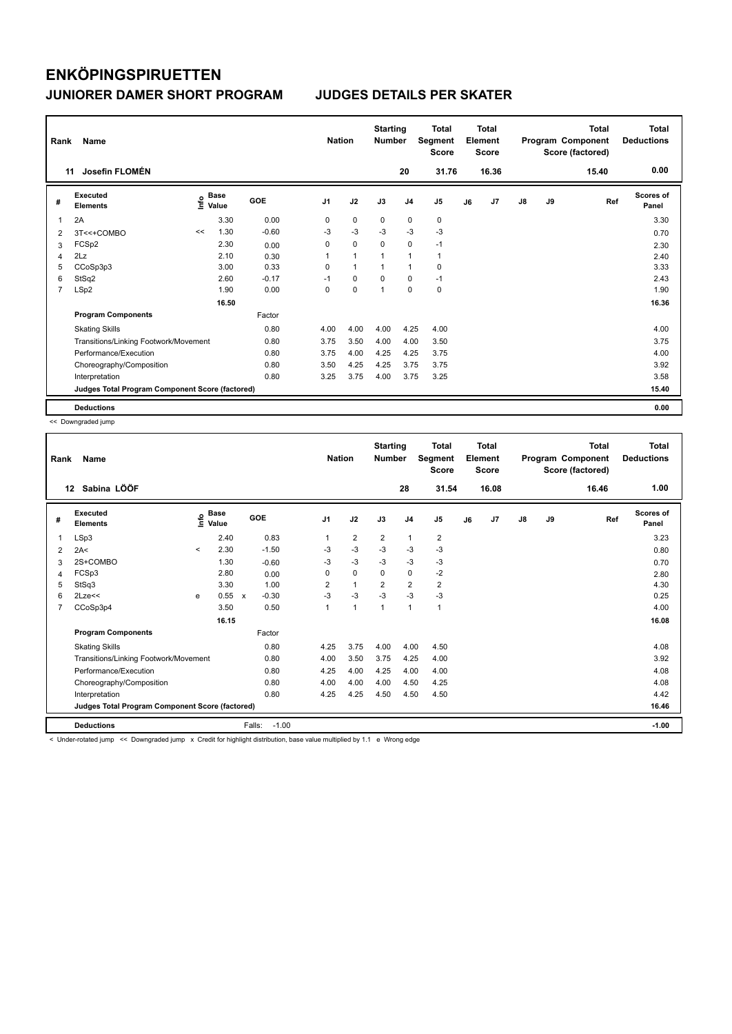| Rank           | Name                                            |    |                                  |         | <b>Nation</b>  |                | <b>Starting</b><br><b>Number</b> |                | <b>Total</b><br>Segment<br><b>Score</b> |    | <b>Total</b><br>Element<br><b>Score</b> |               |    | <b>Total</b><br>Program Component<br>Score (factored) | <b>Total</b><br><b>Deductions</b> |
|----------------|-------------------------------------------------|----|----------------------------------|---------|----------------|----------------|----------------------------------|----------------|-----------------------------------------|----|-----------------------------------------|---------------|----|-------------------------------------------------------|-----------------------------------|
|                | Josefin FLOMÉN<br>11                            |    |                                  |         |                |                |                                  | 20             | 31.76                                   |    | 16.36                                   |               |    | 15.40                                                 | 0.00                              |
| #              | Executed<br><b>Elements</b>                     |    | <b>Base</b><br>e Base<br>E Value | GOE     | J <sub>1</sub> | J2             | J3                               | J <sub>4</sub> | J <sub>5</sub>                          | J6 | J7                                      | $\mathsf{J}8$ | J9 | Ref                                                   | Scores of<br>Panel                |
| $\overline{1}$ | 2A                                              |    | 3.30                             | 0.00    | 0              | 0              | 0                                | 0              | 0                                       |    |                                         |               |    |                                                       | 3.30                              |
| 2              | 3T<<+COMBO                                      | << | 1.30                             | $-0.60$ | -3             | $-3$           | $-3$                             | -3             | $-3$                                    |    |                                         |               |    |                                                       | 0.70                              |
| 3              | FCSp2                                           |    | 2.30                             | 0.00    | 0              | $\mathbf 0$    | $\mathbf 0$                      | $\mathbf 0$    | $-1$                                    |    |                                         |               |    |                                                       | 2.30                              |
| 4              | 2Lz                                             |    | 2.10                             | 0.30    |                | $\overline{1}$ | $\overline{ }$                   | $\mathbf{1}$   | $\mathbf{1}$                            |    |                                         |               |    |                                                       | 2.40                              |
| 5              | CCoSp3p3                                        |    | 3.00                             | 0.33    | 0              | $\overline{1}$ | 1                                | $\mathbf{1}$   | 0                                       |    |                                         |               |    |                                                       | 3.33                              |
| 6              | StSq2                                           |    | 2.60                             | $-0.17$ | $-1$           | 0              | 0                                | $\mathbf 0$    | $-1$                                    |    |                                         |               |    |                                                       | 2.43                              |
| $\overline{7}$ | LSp2                                            |    | 1.90                             | 0.00    | 0              | $\mathbf 0$    | $\overline{1}$                   | $\mathbf 0$    | $\mathbf 0$                             |    |                                         |               |    |                                                       | 1.90                              |
|                |                                                 |    | 16.50                            |         |                |                |                                  |                |                                         |    |                                         |               |    |                                                       | 16.36                             |
|                | <b>Program Components</b>                       |    |                                  | Factor  |                |                |                                  |                |                                         |    |                                         |               |    |                                                       |                                   |
|                | <b>Skating Skills</b>                           |    |                                  | 0.80    | 4.00           | 4.00           | 4.00                             | 4.25           | 4.00                                    |    |                                         |               |    |                                                       | 4.00                              |
|                | Transitions/Linking Footwork/Movement           |    |                                  | 0.80    | 3.75           | 3.50           | 4.00                             | 4.00           | 3.50                                    |    |                                         |               |    |                                                       | 3.75                              |
|                | Performance/Execution                           |    |                                  | 0.80    | 3.75           | 4.00           | 4.25                             | 4.25           | 3.75                                    |    |                                         |               |    |                                                       | 4.00                              |
|                | Choreography/Composition                        |    |                                  | 0.80    | 3.50           | 4.25           | 4.25                             | 3.75           | 3.75                                    |    |                                         |               |    |                                                       | 3.92                              |
|                | Interpretation                                  |    |                                  | 0.80    | 3.25           | 3.75           | 4.00                             | 3.75           | 3.25                                    |    |                                         |               |    |                                                       | 3.58                              |
|                | Judges Total Program Component Score (factored) |    |                                  |         |                |                |                                  |                |                                         |    |                                         |               |    |                                                       | 15.40                             |
|                | <b>Deductions</b>                               |    |                                  |         |                |                |                                  |                |                                         |    |                                         |               |    |                                                       | 0.00                              |

<< Downgraded jump

| Rank | Name                                                                                                                      |              | <b>Nation</b>        |              | <b>Starting</b><br><b>Number</b> |                | <b>Total</b><br>Segment<br><b>Score</b> |                | <b>Total</b><br>Element<br><b>Score</b> |                |    | <b>Total</b><br>Program Component<br>Score (factored) | <b>Total</b><br><b>Deductions</b> |    |       |                           |
|------|---------------------------------------------------------------------------------------------------------------------------|--------------|----------------------|--------------|----------------------------------|----------------|-----------------------------------------|----------------|-----------------------------------------|----------------|----|-------------------------------------------------------|-----------------------------------|----|-------|---------------------------|
|      | Sabina LÖÖF<br>12                                                                                                         |              |                      |              |                                  |                |                                         |                | 28                                      | 31.54          |    | 16.08                                                 |                                   |    | 16.46 | 1.00                      |
| #    | Executed<br><b>Elements</b>                                                                                               | ۴٥           | <b>Base</b><br>Value |              | GOE                              | J <sub>1</sub> | J2                                      | J3             | J <sub>4</sub>                          | J5             | J6 | J7                                                    | $\mathsf{J}8$                     | J9 | Ref   | <b>Scores of</b><br>Panel |
| 1    | LSp3                                                                                                                      |              | 2.40                 |              | 0.83                             |                | $\overline{2}$                          | $\overline{2}$ | $\mathbf{1}$                            | $\overline{2}$ |    |                                                       |                                   |    |       | 3.23                      |
| 2    | 2A<                                                                                                                       | $\checkmark$ | 2.30                 |              | $-1.50$                          | -3             | $-3$                                    | $-3$           | $-3$                                    | $-3$           |    |                                                       |                                   |    |       | 0.80                      |
| 3    | 2S+COMBO                                                                                                                  |              | 1.30                 |              | $-0.60$                          | $-3$           | $-3$                                    | -3             | $-3$                                    | $-3$           |    |                                                       |                                   |    |       | 0.70                      |
| 4    | FCSp3                                                                                                                     |              | 2.80                 |              | 0.00                             | 0              | 0                                       | $\Omega$       | $\mathbf 0$                             | $-2$           |    |                                                       |                                   |    |       | 2.80                      |
| 5    | StSq3                                                                                                                     |              | 3.30                 |              | 1.00                             | $\overline{2}$ | $\mathbf{1}$                            | $\overline{2}$ | $\overline{2}$                          | $\overline{2}$ |    |                                                       |                                   |    |       | 4.30                      |
| 6    | $2$ Lze $<<$                                                                                                              | e            | 0.55                 | $\mathbf{x}$ | $-0.30$                          | $-3$           | $-3$                                    | $-3$           | $-3$                                    | $-3$           |    |                                                       |                                   |    |       | 0.25                      |
| 7    | CCoSp3p4                                                                                                                  |              | 3.50                 |              | 0.50                             | 1              | $\mathbf{1}$                            | 1              | $\mathbf{1}$                            | $\mathbf{1}$   |    |                                                       |                                   |    |       | 4.00                      |
|      |                                                                                                                           |              | 16.15                |              |                                  |                |                                         |                |                                         |                |    |                                                       |                                   |    |       | 16.08                     |
|      | <b>Program Components</b>                                                                                                 |              |                      |              | Factor                           |                |                                         |                |                                         |                |    |                                                       |                                   |    |       |                           |
|      | <b>Skating Skills</b>                                                                                                     |              |                      |              | 0.80                             | 4.25           | 3.75                                    | 4.00           | 4.00                                    | 4.50           |    |                                                       |                                   |    |       | 4.08                      |
|      | Transitions/Linking Footwork/Movement                                                                                     |              |                      |              | 0.80                             | 4.00           | 3.50                                    | 3.75           | 4.25                                    | 4.00           |    |                                                       |                                   |    |       | 3.92                      |
|      | Performance/Execution                                                                                                     |              |                      |              | 0.80                             | 4.25           | 4.00                                    | 4.25           | 4.00                                    | 4.00           |    |                                                       |                                   |    |       | 4.08                      |
|      | Choreography/Composition                                                                                                  |              |                      |              | 0.80                             | 4.00           | 4.00                                    | 4.00           | 4.50                                    | 4.25           |    |                                                       |                                   |    |       | 4.08                      |
|      | Interpretation                                                                                                            |              |                      |              | 0.80                             | 4.25           | 4.25                                    | 4.50           | 4.50                                    | 4.50           |    |                                                       |                                   |    |       | 4.42                      |
|      | Judges Total Program Component Score (factored)                                                                           |              |                      |              |                                  |                |                                         |                |                                         |                |    |                                                       |                                   |    |       | 16.46                     |
|      | <b>Deductions</b>                                                                                                         |              |                      |              | $-1.00$<br>Falls:                |                |                                         |                |                                         |                |    |                                                       |                                   |    |       | $-1.00$                   |
|      | a Under retated jumn and Downgraded jumn as Credit for bigblight distribution, been value multiplied by 1.1, o Wrong edge |              |                      |              |                                  |                |                                         |                |                                         |                |    |                                                       |                                   |    |       |                           |

for highlight distribution, base value multiplied by 1.1 e Wrong e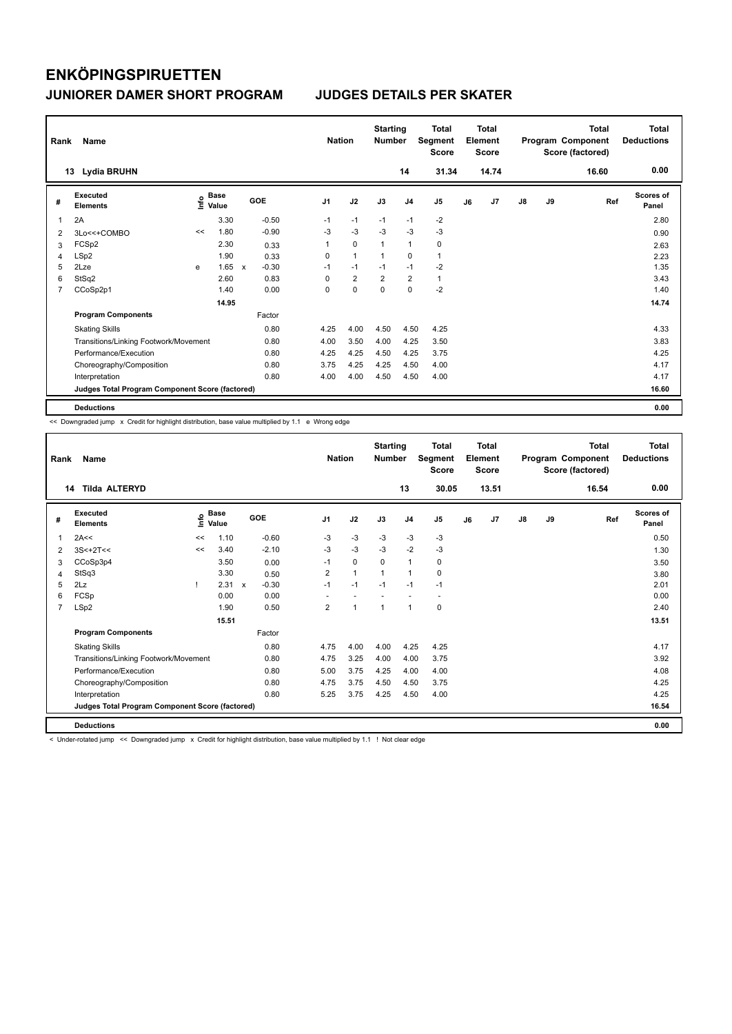| Rank           | Name                                            |    |                                  |              |         |                | <b>Nation</b> |                | <b>Starting</b><br><b>Number</b> |                | <b>Total</b><br>Segment<br><b>Score</b> |    | <b>Total</b><br>Element<br><b>Score</b> |               |    | <b>Total</b><br>Program Component<br>Score (factored) | <b>Total</b><br><b>Deductions</b> |
|----------------|-------------------------------------------------|----|----------------------------------|--------------|---------|----------------|---------------|----------------|----------------------------------|----------------|-----------------------------------------|----|-----------------------------------------|---------------|----|-------------------------------------------------------|-----------------------------------|
|                | Lydia BRUHN<br>13                               |    |                                  |              |         |                |               |                |                                  | 14             | 31.34                                   |    | 14.74                                   |               |    | 16.60                                                 | 0.00                              |
| #              | Executed<br><b>Elements</b>                     |    | <b>Base</b><br>e Base<br>E Value |              | GOE     | J <sub>1</sub> |               | J2             | J3                               | J <sub>4</sub> | J <sub>5</sub>                          | J6 | J7                                      | $\mathsf{J}8$ | J9 | Ref                                                   | Scores of<br>Panel                |
| $\overline{1}$ | 2A                                              |    | 3.30                             |              | $-0.50$ | $-1$           |               | $-1$           | $-1$                             | $-1$           | $-2$                                    |    |                                         |               |    |                                                       | 2.80                              |
| 2              | 3Lo<<+COMBO                                     | << | 1.80                             |              | $-0.90$ | -3             |               | $-3$           | -3                               | $-3$           | $-3$                                    |    |                                         |               |    |                                                       | 0.90                              |
| 3              | FCSp2                                           |    | 2.30                             |              | 0.33    |                |               | $\mathbf 0$    | $\overline{1}$                   | $\overline{1}$ | $\pmb{0}$                               |    |                                         |               |    |                                                       | 2.63                              |
| 4              | LSp2                                            |    | 1.90                             |              | 0.33    |                | 0             | $\mathbf{1}$   | $\overline{1}$                   | 0              | $\mathbf{1}$                            |    |                                         |               |    |                                                       | 2.23                              |
| 5              | 2Lze                                            | e  | 1.65                             | $\mathsf{x}$ | $-0.30$ | $-1$           |               | $-1$           | $-1$                             | $-1$           | $-2$                                    |    |                                         |               |    |                                                       | 1.35                              |
| 6              | StSq2                                           |    | 2.60                             |              | 0.83    |                | 0             | $\overline{2}$ | $\overline{2}$                   | $\overline{2}$ | $\mathbf{1}$                            |    |                                         |               |    |                                                       | 3.43                              |
| $\overline{7}$ | CCoSp2p1                                        |    | 1.40                             |              | 0.00    |                | 0             | $\mathbf 0$    | $\mathbf 0$                      | $\mathbf 0$    | $-2$                                    |    |                                         |               |    |                                                       | 1.40                              |
|                |                                                 |    | 14.95                            |              |         |                |               |                |                                  |                |                                         |    |                                         |               |    |                                                       | 14.74                             |
|                | <b>Program Components</b>                       |    |                                  |              | Factor  |                |               |                |                                  |                |                                         |    |                                         |               |    |                                                       |                                   |
|                | <b>Skating Skills</b>                           |    |                                  |              | 0.80    | 4.25           |               | 4.00           | 4.50                             | 4.50           | 4.25                                    |    |                                         |               |    |                                                       | 4.33                              |
|                | Transitions/Linking Footwork/Movement           |    |                                  |              | 0.80    | 4.00           |               | 3.50           | 4.00                             | 4.25           | 3.50                                    |    |                                         |               |    |                                                       | 3.83                              |
|                | Performance/Execution                           |    |                                  |              | 0.80    | 4.25           |               | 4.25           | 4.50                             | 4.25           | 3.75                                    |    |                                         |               |    |                                                       | 4.25                              |
|                | Choreography/Composition                        |    |                                  |              | 0.80    |                | 3.75          | 4.25           | 4.25                             | 4.50           | 4.00                                    |    |                                         |               |    |                                                       | 4.17                              |
|                | Interpretation                                  |    |                                  |              | 0.80    | 4.00           |               | 4.00           | 4.50                             | 4.50           | 4.00                                    |    |                                         |               |    |                                                       | 4.17                              |
|                | Judges Total Program Component Score (factored) |    |                                  |              |         |                |               |                |                                  |                |                                         |    |                                         |               |    |                                                       | 16.60                             |
|                | <b>Deductions</b>                               |    |                                  |              |         |                |               |                |                                  |                |                                         |    |                                         |               |    |                                                       | 0.00                              |

<< Downgraded jump x Credit for highlight distribution, base value multiplied by 1.1 e Wrong edge

| Rank           | Name                                            |    |                      |              |         |                | <b>Nation</b>        | <b>Starting</b><br><b>Number</b> |                | <b>Total</b><br>Segment<br><b>Score</b> |    | Total<br>Element<br><b>Score</b> |               |    | Total<br>Program Component<br>Score (factored) | Total<br><b>Deductions</b> |
|----------------|-------------------------------------------------|----|----------------------|--------------|---------|----------------|----------------------|----------------------------------|----------------|-----------------------------------------|----|----------------------------------|---------------|----|------------------------------------------------|----------------------------|
| 14             | <b>Tilda ALTERYD</b>                            |    |                      |              |         |                |                      |                                  | 13             | 30.05                                   |    | 13.51                            |               |    | 16.54                                          | 0.00                       |
| #              | <b>Executed</b><br><b>Elements</b>              | ۴٥ | <b>Base</b><br>Value |              | GOE     | J1             | J2                   | J3                               | J <sub>4</sub> | J5                                      | J6 | J7                               | $\mathsf{J}8$ | J9 | Ref                                            | <b>Scores of</b><br>Panel  |
| 1              | 2A<<                                            | << | 1.10                 |              | $-0.60$ | $-3$           | $-3$                 | $-3$                             | $-3$           | $-3$                                    |    |                                  |               |    |                                                | 0.50                       |
| 2              | $3S<+2T<<$                                      | << | 3.40                 |              | $-2.10$ | $-3$           | $-3$                 | $-3$                             | $-2$           | $-3$                                    |    |                                  |               |    |                                                | 1.30                       |
| 3              | CCoSp3p4                                        |    | 3.50                 |              | 0.00    | $-1$           | 0                    | 0                                | $\mathbf{1}$   | 0                                       |    |                                  |               |    |                                                | 3.50                       |
| 4              | StSq3                                           |    | 3.30                 |              | 0.50    | $\overline{2}$ | $\mathbf{1}$         | 1                                | $\mathbf{1}$   | 0                                       |    |                                  |               |    |                                                | 3.80                       |
| 5              | 2Lz                                             |    | 2.31                 | $\mathsf{x}$ | $-0.30$ | $-1$           | $-1$                 | $-1$                             | $-1$           | $-1$                                    |    |                                  |               |    |                                                | 2.01                       |
| 6              | FCSp                                            |    | 0.00                 |              | 0.00    |                |                      |                                  |                | $\sim$                                  |    |                                  |               |    |                                                | 0.00                       |
| $\overline{7}$ | LSp2                                            |    | 1.90                 |              | 0.50    | $\overline{2}$ | $\blacktriangleleft$ | 1                                | $\overline{1}$ | 0                                       |    |                                  |               |    |                                                | 2.40                       |
|                |                                                 |    | 15.51                |              |         |                |                      |                                  |                |                                         |    |                                  |               |    |                                                | 13.51                      |
|                | <b>Program Components</b>                       |    |                      |              | Factor  |                |                      |                                  |                |                                         |    |                                  |               |    |                                                |                            |
|                | <b>Skating Skills</b>                           |    |                      |              | 0.80    | 4.75           | 4.00                 | 4.00                             | 4.25           | 4.25                                    |    |                                  |               |    |                                                | 4.17                       |
|                | Transitions/Linking Footwork/Movement           |    |                      |              | 0.80    | 4.75           | 3.25                 | 4.00                             | 4.00           | 3.75                                    |    |                                  |               |    |                                                | 3.92                       |
|                | Performance/Execution                           |    |                      |              | 0.80    | 5.00           | 3.75                 | 4.25                             | 4.00           | 4.00                                    |    |                                  |               |    |                                                | 4.08                       |
|                | Choreography/Composition                        |    |                      |              | 0.80    | 4.75           | 3.75                 | 4.50                             | 4.50           | 3.75                                    |    |                                  |               |    |                                                | 4.25                       |
|                | Interpretation                                  |    |                      |              | 0.80    | 5.25           | 3.75                 | 4.25                             | 4.50           | 4.00                                    |    |                                  |               |    |                                                | 4.25                       |
|                | Judges Total Program Component Score (factored) |    |                      |              |         |                |                      |                                  |                |                                         |    |                                  |               |    |                                                | 16.54                      |
|                | <b>Deductions</b>                               |    |                      |              |         |                |                      |                                  |                |                                         |    |                                  |               |    |                                                | 0.00                       |

< Under-rotated jump << Downgraded jump x Credit for highlight distribution, base value multiplied by 1.1 ! Not clear edge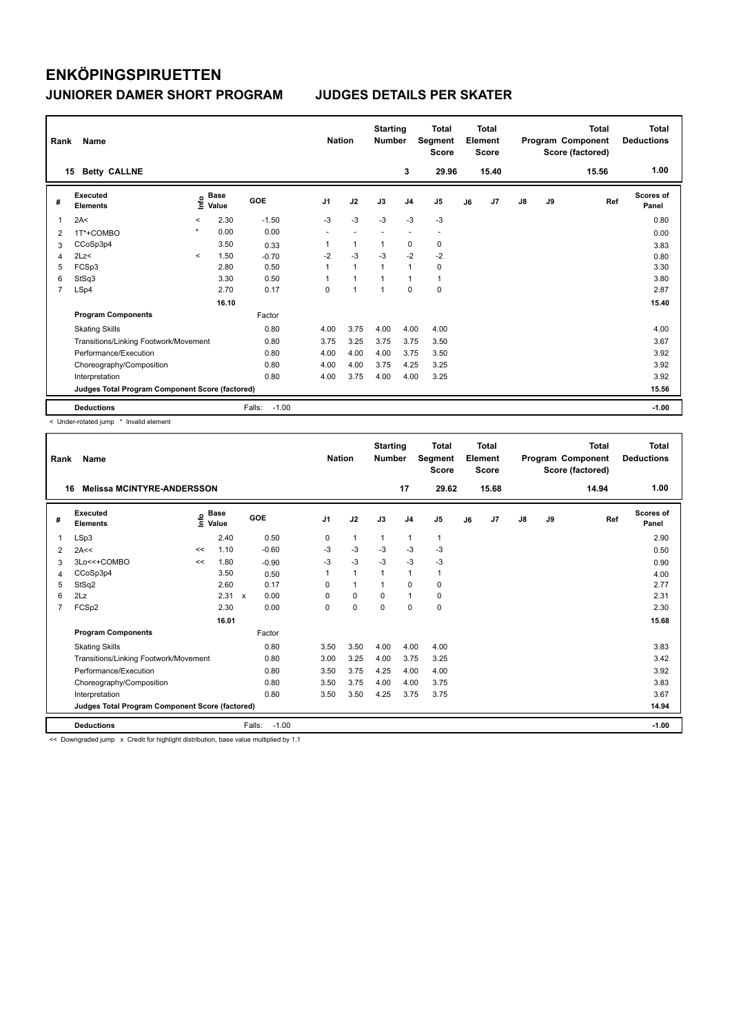| Rank           | Name                                            |         |                      |                   | <b>Nation</b>  |                | <b>Starting</b><br><b>Number</b> |                | Total<br>Segment<br><b>Score</b> |    | <b>Total</b><br>Element<br>Score |               |    | <b>Total</b><br>Program Component<br>Score (factored) | Total<br><b>Deductions</b> |
|----------------|-------------------------------------------------|---------|----------------------|-------------------|----------------|----------------|----------------------------------|----------------|----------------------------------|----|----------------------------------|---------------|----|-------------------------------------------------------|----------------------------|
|                | <b>Betty CALLNE</b><br>15                       |         |                      |                   |                |                |                                  | 3              | 29.96                            |    | 15.40                            |               |    | 15.56                                                 | 1.00                       |
| #              | Executed<br><b>Elements</b>                     | ١nf٥    | <b>Base</b><br>Value | <b>GOE</b>        | J <sub>1</sub> | J2             | J3                               | J <sub>4</sub> | J <sub>5</sub>                   | J6 | J7                               | $\mathsf{J}8$ | J9 | Ref                                                   | <b>Scores of</b><br>Panel  |
| $\overline{1}$ | 2A<                                             | $\prec$ | 2.30                 | $-1.50$           | $-3$           | $-3$           | $-3$                             | $-3$           | $-3$                             |    |                                  |               |    |                                                       | 0.80                       |
| 2              | 1T*+COMBO                                       | $\star$ | 0.00                 | 0.00              |                |                |                                  | ٠              | $\overline{\phantom{a}}$         |    |                                  |               |    |                                                       | 0.00                       |
| 3              | CCoSp3p4                                        |         | 3.50                 | 0.33              | 1              | $\mathbf{1}$   |                                  | $\mathbf 0$    | $\mathbf 0$                      |    |                                  |               |    |                                                       | 3.83                       |
| $\overline{4}$ | 2Lz<                                            | $\prec$ | 1.50                 | $-0.70$           | $-2$           | $-3$           | $-3$                             | $-2$           | $-2$                             |    |                                  |               |    |                                                       | 0.80                       |
| 5              | FCSp3                                           |         | 2.80                 | 0.50              | 1              | $\mathbf{1}$   |                                  | $\mathbf{1}$   | 0                                |    |                                  |               |    |                                                       | 3.30                       |
| 6              | StSq3                                           |         | 3.30                 | 0.50              |                | $\overline{1}$ |                                  | 1              | $\mathbf{1}$                     |    |                                  |               |    |                                                       | 3.80                       |
| $\overline{7}$ | LSp4                                            |         | 2.70                 | 0.17              | 0              | $\overline{1}$ |                                  | $\Omega$       | $\pmb{0}$                        |    |                                  |               |    |                                                       | 2.87                       |
|                |                                                 |         | 16.10                |                   |                |                |                                  |                |                                  |    |                                  |               |    |                                                       | 15.40                      |
|                | <b>Program Components</b>                       |         |                      | Factor            |                |                |                                  |                |                                  |    |                                  |               |    |                                                       |                            |
|                | <b>Skating Skills</b>                           |         |                      | 0.80              | 4.00           | 3.75           | 4.00                             | 4.00           | 4.00                             |    |                                  |               |    |                                                       | 4.00                       |
|                | Transitions/Linking Footwork/Movement           |         |                      | 0.80              | 3.75           | 3.25           | 3.75                             | 3.75           | 3.50                             |    |                                  |               |    |                                                       | 3.67                       |
|                | Performance/Execution                           |         |                      | 0.80              | 4.00           | 4.00           | 4.00                             | 3.75           | 3.50                             |    |                                  |               |    |                                                       | 3.92                       |
|                | Choreography/Composition                        |         |                      | 0.80              | 4.00           | 4.00           | 3.75                             | 4.25           | 3.25                             |    |                                  |               |    |                                                       | 3.92                       |
|                | Interpretation                                  |         |                      | 0.80              | 4.00           | 3.75           | 4.00                             | 4.00           | 3.25                             |    |                                  |               |    |                                                       | 3.92                       |
|                | Judges Total Program Component Score (factored) |         |                      |                   |                |                |                                  |                |                                  |    |                                  |               |    |                                                       | 15.56                      |
|                | <b>Deductions</b>                               |         |                      | Falls:<br>$-1.00$ |                |                |                                  |                |                                  |    |                                  |               |    |                                                       | $-1.00$                    |

< Under-rotated jump \* Invalid element

| Rank           | Name                                            |    |                      |        |         | <b>Nation</b>  |          | <b>Starting</b><br><b>Number</b> |                | <b>Total</b><br>Segment<br><b>Score</b> |    | <b>Total</b><br>Element<br><b>Score</b> |               |    | <b>Total</b><br>Program Component<br>Score (factored) | <b>Total</b><br><b>Deductions</b> |
|----------------|-------------------------------------------------|----|----------------------|--------|---------|----------------|----------|----------------------------------|----------------|-----------------------------------------|----|-----------------------------------------|---------------|----|-------------------------------------------------------|-----------------------------------|
| 16             | <b>Melissa MCINTYRE-ANDERSSON</b>               |    |                      |        |         |                |          |                                  | 17             | 29.62                                   |    | 15.68                                   |               |    | 14.94                                                 | 1.00                              |
| #              | Executed<br><b>Elements</b>                     | ۴٥ | <b>Base</b><br>Value |        | GOE     | J <sub>1</sub> | J2       | J3                               | J <sub>4</sub> | J <sub>5</sub>                          | J6 | J7                                      | $\mathsf{J}8$ | J9 | Ref                                                   | <b>Scores of</b><br>Panel         |
| 1              | LSp3                                            |    | 2.40                 |        | 0.50    | 0              | 1        | 1                                | $\mathbf{1}$   | 1                                       |    |                                         |               |    |                                                       | 2.90                              |
| 2              | 2A<<                                            | << | 1.10                 |        | $-0.60$ | $-3$           | $-3$     | $-3$                             | $-3$           | $-3$                                    |    |                                         |               |    |                                                       | 0.50                              |
| 3              | 3Lo<<+COMBO                                     | << | 1.80                 |        | $-0.90$ | $-3$           | $-3$     | $-3$                             | $-3$           | $-3$                                    |    |                                         |               |    |                                                       | 0.90                              |
| 4              | CCoSp3p4                                        |    | 3.50                 |        | 0.50    | 1              | 1        | $\mathbf 1$                      | $\mathbf{1}$   | 1                                       |    |                                         |               |    |                                                       | 4.00                              |
| 5              | StSq2                                           |    | 2.60                 |        | 0.17    | $\Omega$       | 1        |                                  | 0              | 0                                       |    |                                         |               |    |                                                       | 2.77                              |
| 6              | 2Lz                                             |    | 2.31 x               |        | 0.00    | $\Omega$       | $\Omega$ | $\Omega$                         | $\mathbf{1}$   | 0                                       |    |                                         |               |    |                                                       | 2.31                              |
| $\overline{7}$ | FCSp2                                           |    | 2.30                 |        | 0.00    | $\Omega$       | $\Omega$ | $\Omega$                         | $\Omega$       | 0                                       |    |                                         |               |    |                                                       | 2.30                              |
|                |                                                 |    | 16.01                |        |         |                |          |                                  |                |                                         |    |                                         |               |    |                                                       | 15.68                             |
|                | <b>Program Components</b>                       |    |                      |        | Factor  |                |          |                                  |                |                                         |    |                                         |               |    |                                                       |                                   |
|                | <b>Skating Skills</b>                           |    |                      |        | 0.80    | 3.50           | 3.50     | 4.00                             | 4.00           | 4.00                                    |    |                                         |               |    |                                                       | 3.83                              |
|                | Transitions/Linking Footwork/Movement           |    |                      |        | 0.80    | 3.00           | 3.25     | 4.00                             | 3.75           | 3.25                                    |    |                                         |               |    |                                                       | 3.42                              |
|                | Performance/Execution                           |    |                      |        | 0.80    | 3.50           | 3.75     | 4.25                             | 4.00           | 4.00                                    |    |                                         |               |    |                                                       | 3.92                              |
|                | Choreography/Composition                        |    |                      |        | 0.80    | 3.50           | 3.75     | 4.00                             | 4.00           | 3.75                                    |    |                                         |               |    |                                                       | 3.83                              |
|                | Interpretation                                  |    |                      |        | 0.80    | 3.50           | 3.50     | 4.25                             | 3.75           | 3.75                                    |    |                                         |               |    |                                                       | 3.67                              |
|                | Judges Total Program Component Score (factored) |    |                      |        |         |                |          |                                  |                |                                         |    |                                         |               |    |                                                       | 14.94                             |
|                | <b>Deductions</b>                               |    |                      | Falls: | $-1.00$ |                |          |                                  |                |                                         |    |                                         |               |    |                                                       | $-1.00$                           |
|                |                                                 |    |                      |        | .       |                |          |                                  |                |                                         |    |                                         |               |    |                                                       |                                   |

Downgraded jump x Credit for highlight distribution, base value multiplied by 1.1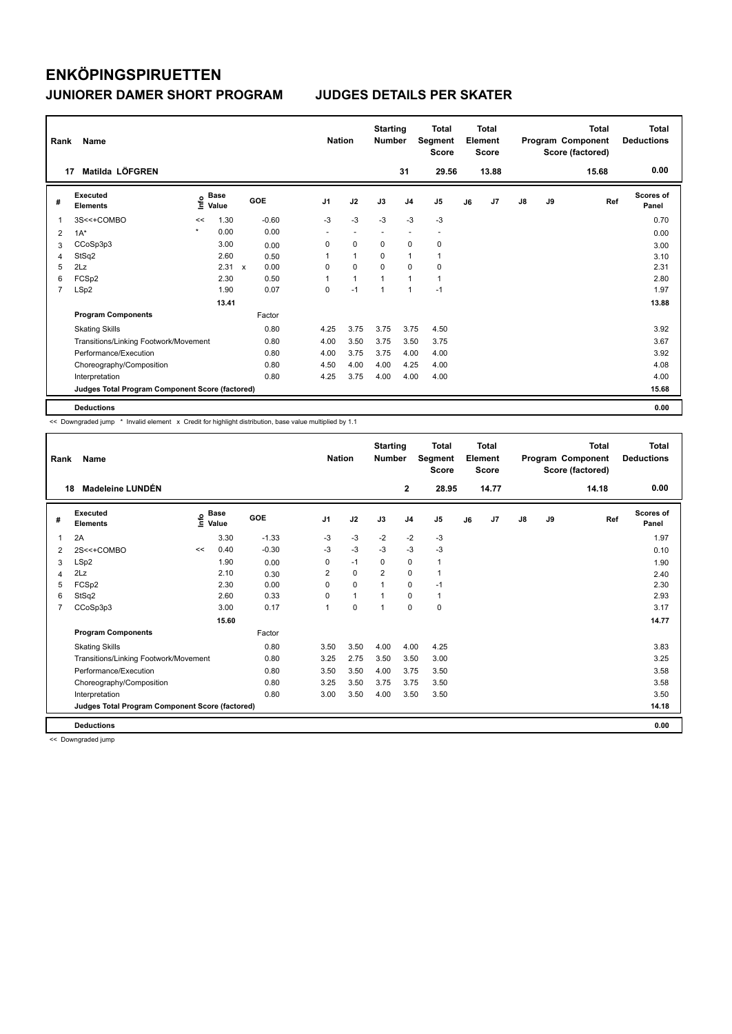| Rank           | Name                                            |         |               |                      |                | <b>Nation</b> |                          | <b>Starting</b><br><b>Number</b> |                          | <b>Total</b><br>Segment<br><b>Score</b> |    | <b>Total</b><br>Element<br><b>Score</b> |               |    | <b>Total</b><br>Program Component<br>Score (factored) | <b>Total</b><br><b>Deductions</b> |
|----------------|-------------------------------------------------|---------|---------------|----------------------|----------------|---------------|--------------------------|----------------------------------|--------------------------|-----------------------------------------|----|-----------------------------------------|---------------|----|-------------------------------------------------------|-----------------------------------|
|                | Matilda LÖFGREN<br>17                           |         |               |                      |                |               |                          |                                  | 31                       | 29.56                                   |    | 13.88                                   |               |    | 15.68                                                 | 0.00                              |
| #              | Executed<br><b>Elements</b>                     | ١nf٥    | Base<br>Value | GOE                  | J <sub>1</sub> |               | J2                       | J3                               | J <sub>4</sub>           | J <sub>5</sub>                          | J6 | J <sub>7</sub>                          | $\mathsf{J}8$ | J9 | Ref                                                   | <b>Scores of</b><br>Panel         |
| -1             | 3S<<+COMBO                                      | <<      | 1.30          | $-0.60$              | $-3$           |               | $-3$                     | $-3$                             | $-3$                     | $-3$                                    |    |                                         |               |    |                                                       | 0.70                              |
| $\overline{2}$ | $1A^*$                                          | $\star$ | 0.00          | 0.00                 | ٠              |               | $\overline{\phantom{a}}$ | $\overline{\phantom{a}}$         | $\overline{\phantom{a}}$ | $\overline{\phantom{a}}$                |    |                                         |               |    |                                                       | 0.00                              |
| 3              | CCoSp3p3                                        |         | 3.00          | 0.00                 | 0              |               | $\mathbf 0$              | $\mathbf 0$                      | 0                        | 0                                       |    |                                         |               |    |                                                       | 3.00                              |
| 4              | StSq2                                           |         | 2.60          | 0.50                 | 1              |               | $\blacktriangleleft$     | 0                                | $\overline{1}$           |                                         |    |                                         |               |    |                                                       | 3.10                              |
| 5              | 2Lz                                             |         | 2.31          | 0.00<br>$\mathbf{x}$ | $\Omega$       |               | $\Omega$                 | $\Omega$                         | $\Omega$                 | 0                                       |    |                                         |               |    |                                                       | 2.31                              |
| 6              | FCSp2                                           |         | 2.30          | 0.50                 | 1              |               | $\mathbf{1}$             | $\overline{1}$                   | $\overline{1}$           | $\mathbf{1}$                            |    |                                         |               |    |                                                       | 2.80                              |
| $\overline{7}$ | LSp2                                            |         | 1.90          | 0.07                 | 0              |               | $-1$                     | $\overline{1}$                   | $\overline{1}$           | $-1$                                    |    |                                         |               |    |                                                       | 1.97                              |
|                |                                                 |         | 13.41         |                      |                |               |                          |                                  |                          |                                         |    |                                         |               |    |                                                       | 13.88                             |
|                | <b>Program Components</b>                       |         |               | Factor               |                |               |                          |                                  |                          |                                         |    |                                         |               |    |                                                       |                                   |
|                | <b>Skating Skills</b>                           |         |               | 0.80                 | 4.25           |               | 3.75                     | 3.75                             | 3.75                     | 4.50                                    |    |                                         |               |    |                                                       | 3.92                              |
|                | Transitions/Linking Footwork/Movement           |         |               | 0.80                 | 4.00           |               | 3.50                     | 3.75                             | 3.50                     | 3.75                                    |    |                                         |               |    |                                                       | 3.67                              |
|                | Performance/Execution                           |         |               | 0.80                 | 4.00           |               | 3.75                     | 3.75                             | 4.00                     | 4.00                                    |    |                                         |               |    |                                                       | 3.92                              |
|                | Choreography/Composition                        |         |               | 0.80                 | 4.50           |               | 4.00                     | 4.00                             | 4.25                     | 4.00                                    |    |                                         |               |    |                                                       | 4.08                              |
|                | Interpretation                                  |         |               | 0.80                 | 4.25           |               | 3.75                     | 4.00                             | 4.00                     | 4.00                                    |    |                                         |               |    |                                                       | 4.00                              |
|                | Judges Total Program Component Score (factored) |         |               |                      |                |               |                          |                                  |                          |                                         |    |                                         |               |    |                                                       | 15.68                             |
|                | <b>Deductions</b>                               |         |               |                      |                |               |                          |                                  |                          |                                         |    |                                         |               |    |                                                       | 0.00                              |

<< Downgraded jump \* Invalid element x Credit for highlight distribution, base value multiplied by 1.1

| Rank | Name                                            |      |                      |         | <b>Nation</b>  |              | <b>Starting</b><br><b>Number</b> |                | <b>Total</b><br>Segment<br><b>Score</b> |    | <b>Total</b><br>Element<br><b>Score</b> |               |    | Total<br>Program Component<br>Score (factored) | <b>Total</b><br><b>Deductions</b> |
|------|-------------------------------------------------|------|----------------------|---------|----------------|--------------|----------------------------------|----------------|-----------------------------------------|----|-----------------------------------------|---------------|----|------------------------------------------------|-----------------------------------|
| 18   | <b>Madeleine LUNDÉN</b>                         |      |                      |         |                |              |                                  | $\mathbf{2}$   | 28.95                                   |    | 14.77                                   |               |    | 14.18                                          | 0.00                              |
| #    | <b>Executed</b><br><b>Elements</b>              | ١nfo | <b>Base</b><br>Value | GOE     | J1             | J2           | J3                               | J <sub>4</sub> | J <sub>5</sub>                          | J6 | J7                                      | $\mathsf{J}8$ | J9 | Ref                                            | <b>Scores of</b><br>Panel         |
| 1    | 2A                                              |      | 3.30                 | $-1.33$ | $-3$           | $-3$         | $-2$                             | $-2$           | $-3$                                    |    |                                         |               |    |                                                | 1.97                              |
| 2    | 2S<<+COMBO                                      | <<   | 0.40                 | $-0.30$ | $-3$           | $-3$         | $-3$                             | $-3$           | $-3$                                    |    |                                         |               |    |                                                | 0.10                              |
| 3    | LSp2                                            |      | 1.90                 | 0.00    | 0              | $-1$         | 0                                | $\mathbf 0$    | $\mathbf{1}$                            |    |                                         |               |    |                                                | 1.90                              |
| 4    | 2Lz                                             |      | 2.10                 | 0.30    | $\overline{2}$ | $\Omega$     | $\overline{2}$                   | $\Omega$       | $\mathbf{1}$                            |    |                                         |               |    |                                                | 2.40                              |
| 5    | FCSp2                                           |      | 2.30                 | 0.00    | 0              | $\mathbf 0$  | $\mathbf{1}$                     | 0              | $-1$                                    |    |                                         |               |    |                                                | 2.30                              |
| 6    | StSq2                                           |      | 2.60                 | 0.33    | $\Omega$       | $\mathbf{1}$ | $\overline{1}$                   | 0              | $\mathbf{1}$                            |    |                                         |               |    |                                                | 2.93                              |
| 7    | CCoSp3p3                                        |      | 3.00                 | 0.17    | 1              | $\mathbf 0$  | $\mathbf{1}$                     | $\mathbf 0$    | $\mathbf 0$                             |    |                                         |               |    |                                                | 3.17                              |
|      |                                                 |      | 15.60                |         |                |              |                                  |                |                                         |    |                                         |               |    |                                                | 14.77                             |
|      | <b>Program Components</b>                       |      |                      | Factor  |                |              |                                  |                |                                         |    |                                         |               |    |                                                |                                   |
|      | <b>Skating Skills</b>                           |      |                      | 0.80    | 3.50           | 3.50         | 4.00                             | 4.00           | 4.25                                    |    |                                         |               |    |                                                | 3.83                              |
|      | Transitions/Linking Footwork/Movement           |      |                      | 0.80    | 3.25           | 2.75         | 3.50                             | 3.50           | 3.00                                    |    |                                         |               |    |                                                | 3.25                              |
|      | Performance/Execution                           |      |                      | 0.80    | 3.50           | 3.50         | 4.00                             | 3.75           | 3.50                                    |    |                                         |               |    |                                                | 3.58                              |
|      | Choreography/Composition                        |      |                      | 0.80    | 3.25           | 3.50         | 3.75                             | 3.75           | 3.50                                    |    |                                         |               |    |                                                | 3.58                              |
|      | Interpretation                                  |      |                      | 0.80    | 3.00           | 3.50         | 4.00                             | 3.50           | 3.50                                    |    |                                         |               |    |                                                | 3.50                              |
|      | Judges Total Program Component Score (factored) |      |                      |         |                |              |                                  |                |                                         |    |                                         |               |    |                                                | 14.18                             |
|      | <b>Deductions</b>                               |      |                      |         |                |              |                                  |                |                                         |    |                                         |               |    |                                                | 0.00                              |

<< Downgraded jump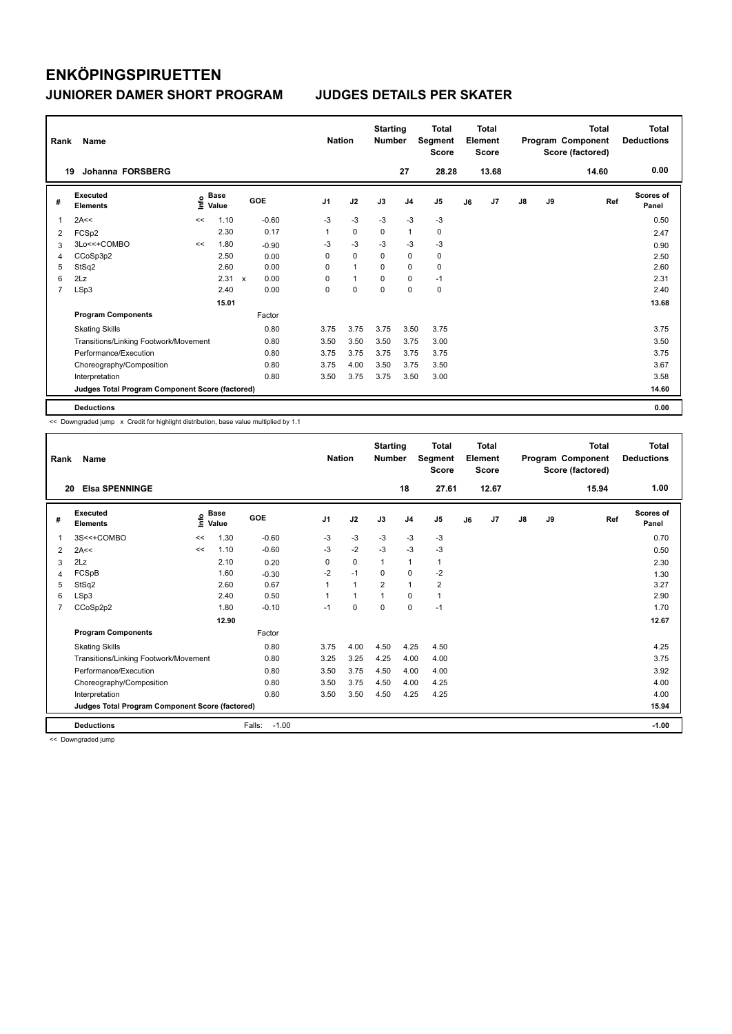| Rank           | Name                                            |    |                      |              |         | <b>Nation</b>  |              | <b>Starting</b><br><b>Number</b> |                | Total<br>Segment<br><b>Score</b> |    | <b>Total</b><br>Element<br><b>Score</b> |    |    | <b>Total</b><br>Program Component<br>Score (factored) | <b>Total</b><br><b>Deductions</b> |
|----------------|-------------------------------------------------|----|----------------------|--------------|---------|----------------|--------------|----------------------------------|----------------|----------------------------------|----|-----------------------------------------|----|----|-------------------------------------------------------|-----------------------------------|
|                | <b>Johanna FORSBERG</b><br>19                   |    |                      |              |         |                |              |                                  | 27             | 28.28                            |    | 13.68                                   |    |    | 14.60                                                 | 0.00                              |
| #              | Executed<br><b>Elements</b>                     | ۴ů | <b>Base</b><br>Value | <b>GOE</b>   |         | J <sub>1</sub> | J2           | J3                               | J <sub>4</sub> | J <sub>5</sub>                   | J6 | J7                                      | J8 | J9 | Ref                                                   | <b>Scores of</b><br>Panel         |
| 1              | 2A<<                                            | << | 1.10                 |              | $-0.60$ | $-3$           | $-3$         | $-3$                             | $-3$           | $-3$                             |    |                                         |    |    |                                                       | 0.50                              |
| 2              | FCSp2                                           |    | 2.30                 |              | 0.17    | 1              | 0            | $\Omega$                         | $\mathbf{1}$   | 0                                |    |                                         |    |    |                                                       | 2.47                              |
| 3              | 3Lo<<+COMBO                                     | << | 1.80                 |              | $-0.90$ | -3             | $-3$         | $-3$                             | $-3$           | $-3$                             |    |                                         |    |    |                                                       | 0.90                              |
| 4              | CCoSp3p2                                        |    | 2.50                 |              | 0.00    | 0              | $\mathbf 0$  | 0                                | $\mathbf 0$    | 0                                |    |                                         |    |    |                                                       | 2.50                              |
| 5              | StSq2                                           |    | 2.60                 |              | 0.00    | 0              | $\mathbf{1}$ | $\Omega$                         | $\mathbf 0$    | $\mathbf 0$                      |    |                                         |    |    |                                                       | 2.60                              |
| 6              | 2Lz                                             |    | 2.31                 | $\mathsf{x}$ | 0.00    | 0              | $\mathbf{1}$ | 0                                | $\mathbf 0$    | $-1$                             |    |                                         |    |    |                                                       | 2.31                              |
| $\overline{7}$ | LSp3                                            |    | 2.40                 |              | 0.00    | 0              | $\mathbf 0$  | $\mathbf 0$                      | $\mathbf 0$    | $\mathbf 0$                      |    |                                         |    |    |                                                       | 2.40                              |
|                |                                                 |    | 15.01                |              |         |                |              |                                  |                |                                  |    |                                         |    |    |                                                       | 13.68                             |
|                | <b>Program Components</b>                       |    |                      |              | Factor  |                |              |                                  |                |                                  |    |                                         |    |    |                                                       |                                   |
|                | <b>Skating Skills</b>                           |    |                      |              | 0.80    | 3.75           | 3.75         | 3.75                             | 3.50           | 3.75                             |    |                                         |    |    |                                                       | 3.75                              |
|                | Transitions/Linking Footwork/Movement           |    |                      |              | 0.80    | 3.50           | 3.50         | 3.50                             | 3.75           | 3.00                             |    |                                         |    |    |                                                       | 3.50                              |
|                | Performance/Execution                           |    |                      |              | 0.80    | 3.75           | 3.75         | 3.75                             | 3.75           | 3.75                             |    |                                         |    |    |                                                       | 3.75                              |
|                | Choreography/Composition                        |    |                      |              | 0.80    | 3.75           | 4.00         | 3.50                             | 3.75           | 3.50                             |    |                                         |    |    |                                                       | 3.67                              |
|                | Interpretation                                  |    |                      |              | 0.80    | 3.50           | 3.75         | 3.75                             | 3.50           | 3.00                             |    |                                         |    |    |                                                       | 3.58                              |
|                | Judges Total Program Component Score (factored) |    |                      |              |         |                |              |                                  |                |                                  |    |                                         |    |    |                                                       | 14.60                             |
|                | <b>Deductions</b>                               |    |                      |              |         |                |              |                                  |                |                                  |    |                                         |    |    |                                                       | 0.00                              |

<< Downgraded jump x Credit for highlight distribution, base value multiplied by 1.1

| Rank           | Name                                            |    |                      |                   | <b>Nation</b>  |              | <b>Starting</b><br><b>Number</b> |                | <b>Total</b><br>Segment<br><b>Score</b> |    | Total<br>Element<br><b>Score</b> |               |    | Total<br>Program Component<br>Score (factored) | <b>Total</b><br><b>Deductions</b> |
|----------------|-------------------------------------------------|----|----------------------|-------------------|----------------|--------------|----------------------------------|----------------|-----------------------------------------|----|----------------------------------|---------------|----|------------------------------------------------|-----------------------------------|
| 20             | <b>Elsa SPENNINGE</b>                           |    |                      |                   |                |              |                                  | 18             | 27.61                                   |    | 12.67                            |               |    | 15.94                                          | 1.00                              |
| #              | <b>Executed</b><br><b>Elements</b>              | ۴o | <b>Base</b><br>Value | GOE               | J <sub>1</sub> | J2           | J3                               | J <sub>4</sub> | J5                                      | J6 | J <sub>7</sub>                   | $\mathsf{J}8$ | J9 | Ref                                            | <b>Scores of</b><br>Panel         |
| 1              | 3S<<+COMBO                                      | << | 1.30                 | $-0.60$           | $-3$           | $-3$         | $-3$                             | $-3$           | $-3$                                    |    |                                  |               |    |                                                | 0.70                              |
| 2              | 2A<<                                            | << | 1.10                 | $-0.60$           | $-3$           | $-2$         | $-3$                             | $-3$           | $-3$                                    |    |                                  |               |    |                                                | 0.50                              |
| 3              | 2Lz                                             |    | 2.10                 | 0.20              | 0              | $\mathbf 0$  | $\mathbf{1}$                     | 1              | 1                                       |    |                                  |               |    |                                                | 2.30                              |
| 4              | FCSpB                                           |    | 1.60                 | $-0.30$           | $-2$           | $-1$         | $\Omega$                         | 0              | $-2$                                    |    |                                  |               |    |                                                | 1.30                              |
| 5              | StSq2                                           |    | 2.60                 | 0.67              |                | $\mathbf{1}$ | $\overline{2}$                   | $\mathbf{1}$   | $\overline{\mathbf{c}}$                 |    |                                  |               |    |                                                | 3.27                              |
| 6              | LSp3                                            |    | 2.40                 | 0.50              |                | $\mathbf{1}$ |                                  | $\Omega$       | 1                                       |    |                                  |               |    |                                                | 2.90                              |
| $\overline{7}$ | CCoSp2p2                                        |    | 1.80                 | $-0.10$           | $-1$           | $\Omega$     | $\Omega$                         | $\mathbf 0$    | $-1$                                    |    |                                  |               |    |                                                | 1.70                              |
|                |                                                 |    | 12.90                |                   |                |              |                                  |                |                                         |    |                                  |               |    |                                                | 12.67                             |
|                | <b>Program Components</b>                       |    |                      | Factor            |                |              |                                  |                |                                         |    |                                  |               |    |                                                |                                   |
|                | <b>Skating Skills</b>                           |    |                      | 0.80              | 3.75           | 4.00         | 4.50                             | 4.25           | 4.50                                    |    |                                  |               |    |                                                | 4.25                              |
|                | Transitions/Linking Footwork/Movement           |    |                      | 0.80              | 3.25           | 3.25         | 4.25                             | 4.00           | 4.00                                    |    |                                  |               |    |                                                | 3.75                              |
|                | Performance/Execution                           |    |                      | 0.80              | 3.50           | 3.75         | 4.50                             | 4.00           | 4.00                                    |    |                                  |               |    |                                                | 3.92                              |
|                | Choreography/Composition                        |    |                      | 0.80              | 3.50           | 3.75         | 4.50                             | 4.00           | 4.25                                    |    |                                  |               |    |                                                | 4.00                              |
|                | Interpretation                                  |    |                      | 0.80              | 3.50           | 3.50         | 4.50                             | 4.25           | 4.25                                    |    |                                  |               |    |                                                | 4.00                              |
|                | Judges Total Program Component Score (factored) |    |                      |                   |                |              |                                  |                |                                         |    |                                  |               |    |                                                | 15.94                             |
|                | <b>Deductions</b>                               |    |                      | Falls:<br>$-1.00$ |                |              |                                  |                |                                         |    |                                  |               |    |                                                | $-1.00$                           |

<< Downgraded jump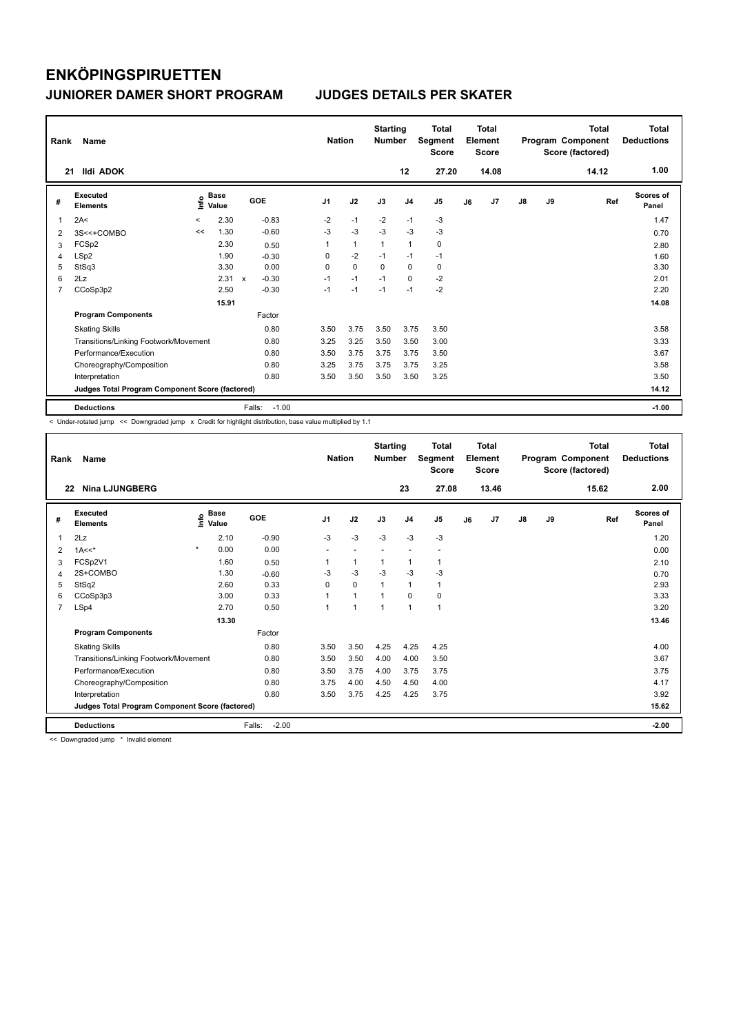| Rank           | Name                                            |         |                      |                                      | <b>Nation</b>  |              | <b>Starting</b><br><b>Number</b> |                | <b>Total</b><br>Segment<br><b>Score</b> |    | <b>Total</b><br>Element<br><b>Score</b> |               |    | <b>Total</b><br>Program Component<br>Score (factored) | Total<br><b>Deductions</b> |
|----------------|-------------------------------------------------|---------|----------------------|--------------------------------------|----------------|--------------|----------------------------------|----------------|-----------------------------------------|----|-----------------------------------------|---------------|----|-------------------------------------------------------|----------------------------|
| 21             | <b>Ildi ADOK</b>                                |         |                      |                                      |                |              |                                  | 12             | 27.20                                   |    | 14.08                                   |               |    | 14.12                                                 | 1.00                       |
| #              | Executed<br><b>Elements</b>                     | ١nf٥    | <b>Base</b><br>Value | GOE                                  | J <sub>1</sub> | J2           | J3                               | J <sub>4</sub> | J <sub>5</sub>                          | J6 | J <sub>7</sub>                          | $\mathsf{J}8$ | J9 | Ref                                                   | Scores of<br>Panel         |
| 1              | 2A<                                             | $\prec$ | 2.30                 | $-0.83$                              | $-2$           | $-1$         | $-2$                             | $-1$           | $-3$                                    |    |                                         |               |    |                                                       | 1.47                       |
| 2              | 3S<<+COMBO                                      | <<      | 1.30                 | $-0.60$                              | $-3$           | $-3$         | $-3$                             | $-3$           | $-3$                                    |    |                                         |               |    |                                                       | 0.70                       |
| 3              | FCSp2                                           |         | 2.30                 | 0.50                                 | 1              | $\mathbf{1}$ | $\overline{1}$                   | $\mathbf{1}$   | 0                                       |    |                                         |               |    |                                                       | 2.80                       |
| 4              | LSp2                                            |         | 1.90                 | $-0.30$                              | 0              | $-2$         | $-1$                             | $-1$           | $-1$                                    |    |                                         |               |    |                                                       | 1.60                       |
| 5              | StSq3                                           |         | 3.30                 | 0.00                                 | $\Omega$       | $\mathbf 0$  | $\Omega$                         | $\mathbf 0$    | 0                                       |    |                                         |               |    |                                                       | 3.30                       |
| 6              | 2Lz                                             |         | 2.31                 | $-0.30$<br>$\boldsymbol{\mathsf{x}}$ | $-1$           | $-1$         | $-1$                             | $\mathbf 0$    | $-2$                                    |    |                                         |               |    |                                                       | 2.01                       |
| $\overline{7}$ | CCoSp3p2                                        |         | 2.50                 | $-0.30$                              | $-1$           | $-1$         | $-1$                             | $-1$           | $-2$                                    |    |                                         |               |    |                                                       | 2.20                       |
|                |                                                 |         | 15.91                |                                      |                |              |                                  |                |                                         |    |                                         |               |    |                                                       | 14.08                      |
|                | <b>Program Components</b>                       |         |                      | Factor                               |                |              |                                  |                |                                         |    |                                         |               |    |                                                       |                            |
|                | <b>Skating Skills</b>                           |         |                      | 0.80                                 | 3.50           | 3.75         | 3.50                             | 3.75           | 3.50                                    |    |                                         |               |    |                                                       | 3.58                       |
|                | Transitions/Linking Footwork/Movement           |         |                      | 0.80                                 | 3.25           | 3.25         | 3.50                             | 3.50           | 3.00                                    |    |                                         |               |    |                                                       | 3.33                       |
|                | Performance/Execution                           |         |                      | 0.80                                 | 3.50           | 3.75         | 3.75                             | 3.75           | 3.50                                    |    |                                         |               |    |                                                       | 3.67                       |
|                | Choreography/Composition                        |         |                      | 0.80                                 | 3.25           | 3.75         | 3.75                             | 3.75           | 3.25                                    |    |                                         |               |    |                                                       | 3.58                       |
|                | Interpretation                                  |         |                      | 0.80                                 | 3.50           | 3.50         | 3.50                             | 3.50           | 3.25                                    |    |                                         |               |    |                                                       | 3.50                       |
|                | Judges Total Program Component Score (factored) |         |                      |                                      |                |              |                                  |                |                                         |    |                                         |               |    |                                                       | 14.12                      |
|                | <b>Deductions</b>                               |         |                      | $-1.00$<br>Falls:                    |                |              |                                  |                |                                         |    |                                         |               |    |                                                       | $-1.00$                    |

< Under-rotated jump << Downgraded jump x Credit for highlight distribution, base value multiplied by 1.1

| Rank           | Name                                            |                    |                   | <b>Nation</b>            |                | <b>Starting</b><br><b>Number</b> |                | <b>Total</b><br>Segment<br><b>Score</b> |    | <b>Total</b><br>Element<br><b>Score</b> |               |    | Total<br>Program Component<br>Score (factored) | <b>Total</b><br><b>Deductions</b> |
|----------------|-------------------------------------------------|--------------------|-------------------|--------------------------|----------------|----------------------------------|----------------|-----------------------------------------|----|-----------------------------------------|---------------|----|------------------------------------------------|-----------------------------------|
|                | <b>Nina LJUNGBERG</b><br>22                     |                    |                   |                          |                |                                  | 23             | 27.08                                   |    | 13.46                                   |               |    | 15.62                                          | 2.00                              |
| #              | Executed<br><b>Elements</b>                     | $\frac{e}{E}$ Base | GOE               | J <sub>1</sub>           | J2             | J3                               | J <sub>4</sub> | J5                                      | J6 | J <sub>7</sub>                          | $\mathsf{J}8$ | J9 | Ref                                            | <b>Scores of</b><br>Panel         |
| 1              | 2Lz                                             | 2.10               | $-0.90$           | $-3$                     | $-3$           | $-3$                             | $-3$           | $-3$                                    |    |                                         |               |    |                                                | 1.20                              |
| 2              | $1A<<^*$                                        | $\star$<br>0.00    | 0.00              | $\overline{\phantom{a}}$ | $\sim$         |                                  |                |                                         |    |                                         |               |    |                                                | 0.00                              |
| 3              | FCSp2V1                                         | 1.60               | 0.50              |                          | $\mathbf{1}$   | 1                                | $\mathbf{1}$   | 1                                       |    |                                         |               |    |                                                | 2.10                              |
| 4              | 2S+COMBO                                        | 1.30               | $-0.60$           | -3                       | $-3$           | $-3$                             | $-3$           | $-3$                                    |    |                                         |               |    |                                                | 0.70                              |
| 5              | StSq2                                           | 2.60               | 0.33              | 0                        | $\Omega$       |                                  | 1              | 1                                       |    |                                         |               |    |                                                | 2.93                              |
| 6              | CCoSp3p3                                        | 3.00               | 0.33              |                          | $\mathbf{1}$   |                                  | $\mathbf 0$    | 0                                       |    |                                         |               |    |                                                | 3.33                              |
| $\overline{7}$ | LSp4                                            | 2.70               | 0.50              |                          | $\overline{ }$ | 1                                | 1              | 1                                       |    |                                         |               |    |                                                | 3.20                              |
|                |                                                 | 13.30              |                   |                          |                |                                  |                |                                         |    |                                         |               |    |                                                | 13.46                             |
|                | <b>Program Components</b>                       |                    | Factor            |                          |                |                                  |                |                                         |    |                                         |               |    |                                                |                                   |
|                | <b>Skating Skills</b>                           |                    | 0.80              | 3.50                     | 3.50           | 4.25                             | 4.25           | 4.25                                    |    |                                         |               |    |                                                | 4.00                              |
|                | Transitions/Linking Footwork/Movement           |                    | 0.80              | 3.50                     | 3.50           | 4.00                             | 4.00           | 3.50                                    |    |                                         |               |    |                                                | 3.67                              |
|                | Performance/Execution                           |                    | 0.80              | 3.50                     | 3.75           | 4.00                             | 3.75           | 3.75                                    |    |                                         |               |    |                                                | 3.75                              |
|                | Choreography/Composition                        |                    | 0.80              | 3.75                     | 4.00           | 4.50                             | 4.50           | 4.00                                    |    |                                         |               |    |                                                | 4.17                              |
|                | Interpretation                                  |                    | 0.80              | 3.50                     | 3.75           | 4.25                             | 4.25           | 3.75                                    |    |                                         |               |    |                                                | 3.92                              |
|                | Judges Total Program Component Score (factored) |                    |                   |                          |                |                                  |                |                                         |    |                                         |               |    |                                                | 15.62                             |
|                | <b>Deductions</b>                               |                    | $-2.00$<br>Falls: |                          |                |                                  |                |                                         |    |                                         |               |    |                                                | $-2.00$                           |

<< Downgraded jump \* Invalid element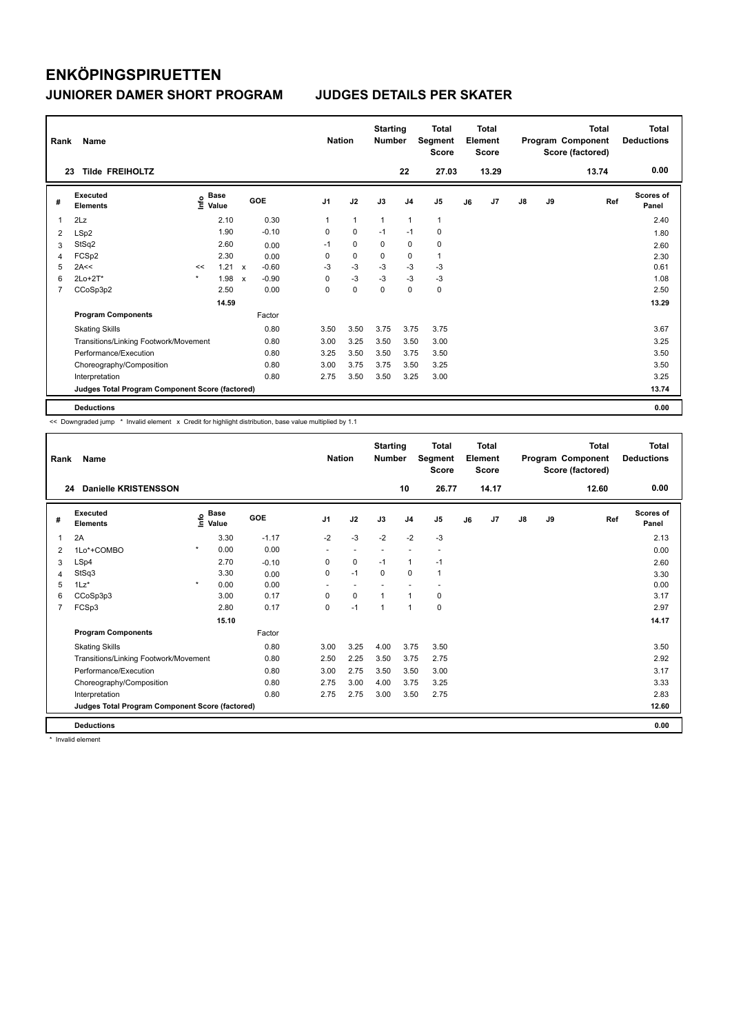| Rank           | Name                                            |         |                                  |              |         | <b>Nation</b>  |                | <b>Starting</b><br><b>Number</b> |                | <b>Total</b><br>Segment<br><b>Score</b> |    | <b>Total</b><br>Element<br><b>Score</b> |               |    | <b>Total</b><br>Program Component<br>Score (factored) | <b>Total</b><br><b>Deductions</b> |
|----------------|-------------------------------------------------|---------|----------------------------------|--------------|---------|----------------|----------------|----------------------------------|----------------|-----------------------------------------|----|-----------------------------------------|---------------|----|-------------------------------------------------------|-----------------------------------|
|                | <b>Tilde FREIHOLTZ</b><br>23                    |         |                                  |              |         |                |                |                                  | 22             | 27.03                                   |    | 13.29                                   |               |    | 13.74                                                 | 0.00                              |
| #              | Executed<br><b>Elements</b>                     |         | <b>Base</b><br>e Base<br>E Value |              | GOE     | J <sub>1</sub> | J2             | J3                               | J <sub>4</sub> | J <sub>5</sub>                          | J6 | J7                                      | $\mathsf{J}8$ | J9 | Ref                                                   | Scores of<br>Panel                |
| 1              | 2Lz                                             |         | 2.10                             |              | 0.30    |                | $\overline{1}$ | $\mathbf{1}$                     | $\mathbf{1}$   | $\mathbf{1}$                            |    |                                         |               |    |                                                       | 2.40                              |
| 2              | LSp2                                            |         | 1.90                             |              | $-0.10$ | 0              | 0              | $-1$                             | $-1$           | 0                                       |    |                                         |               |    |                                                       | 1.80                              |
| 3              | StSq2                                           |         | 2.60                             |              | 0.00    | $-1$           | $\mathbf 0$    | 0                                | $\mathbf 0$    | $\pmb{0}$                               |    |                                         |               |    |                                                       | 2.60                              |
| 4              | FCSp2                                           |         | 2.30                             |              | 0.00    | 0              | 0              | 0                                | 0              | $\mathbf{1}$                            |    |                                         |               |    |                                                       | 2.30                              |
| 5              | 2A<<                                            | <<      | 1.21                             | $\mathbf{x}$ | $-0.60$ | -3             | $-3$           | -3                               | $-3$           | -3                                      |    |                                         |               |    |                                                       | 0.61                              |
| 6              | $2Lo+2T*$                                       | $\star$ | 1.98                             | X            | $-0.90$ | 0              | $-3$           | $-3$                             | $-3$           | $-3$                                    |    |                                         |               |    |                                                       | 1.08                              |
| $\overline{7}$ | CCoSp3p2                                        |         | 2.50                             |              | 0.00    | 0              | $\mathbf 0$    | $\mathbf 0$                      | $\mathbf 0$    | $\mathbf 0$                             |    |                                         |               |    |                                                       | 2.50                              |
|                |                                                 |         | 14.59                            |              |         |                |                |                                  |                |                                         |    |                                         |               |    |                                                       | 13.29                             |
|                | <b>Program Components</b>                       |         |                                  |              | Factor  |                |                |                                  |                |                                         |    |                                         |               |    |                                                       |                                   |
|                | <b>Skating Skills</b>                           |         |                                  |              | 0.80    | 3.50           | 3.50           | 3.75                             | 3.75           | 3.75                                    |    |                                         |               |    |                                                       | 3.67                              |
|                | Transitions/Linking Footwork/Movement           |         |                                  |              | 0.80    | 3.00           | 3.25           | 3.50                             | 3.50           | 3.00                                    |    |                                         |               |    |                                                       | 3.25                              |
|                | Performance/Execution                           |         |                                  |              | 0.80    | 3.25           | 3.50           | 3.50                             | 3.75           | 3.50                                    |    |                                         |               |    |                                                       | 3.50                              |
|                | Choreography/Composition                        |         |                                  |              | 0.80    | 3.00           | 3.75           | 3.75                             | 3.50           | 3.25                                    |    |                                         |               |    |                                                       | 3.50                              |
|                | Interpretation                                  |         |                                  |              | 0.80    | 2.75           | 3.50           | 3.50                             | 3.25           | 3.00                                    |    |                                         |               |    |                                                       | 3.25                              |
|                | Judges Total Program Component Score (factored) |         |                                  |              |         |                |                |                                  |                |                                         |    |                                         |               |    |                                                       | 13.74                             |
|                | <b>Deductions</b>                               |         |                                  |              |         |                |                |                                  |                |                                         |    |                                         |               |    |                                                       | 0.00                              |

<< Downgraded jump \* Invalid element x Credit for highlight distribution, base value multiplied by 1.1

| Rank | Name                                            |         |                      |         | <b>Nation</b>  |      | <b>Starting</b><br><b>Number</b> |                | <b>Total</b><br>Segment<br><b>Score</b> |    | <b>Total</b><br>Element<br><b>Score</b> |    |    | <b>Total</b><br>Program Component<br>Score (factored) | <b>Total</b><br><b>Deductions</b> |
|------|-------------------------------------------------|---------|----------------------|---------|----------------|------|----------------------------------|----------------|-----------------------------------------|----|-----------------------------------------|----|----|-------------------------------------------------------|-----------------------------------|
| 24   | <b>Danielle KRISTENSSON</b>                     |         |                      |         |                |      |                                  | 10             | 26.77                                   |    | 14.17                                   |    |    | 12.60                                                 | 0.00                              |
| #    | Executed<br><b>Elements</b>                     | ١nfo    | <b>Base</b><br>Value | GOE     | J <sub>1</sub> | J2   | J3                               | J <sub>4</sub> | J5                                      | J6 | J7                                      | J8 | J9 | Ref                                                   | <b>Scores of</b><br>Panel         |
| 1    | 2A                                              |         | 3.30                 | $-1.17$ | $-2$           | $-3$ | $-2$                             | $-2$           | $-3$                                    |    |                                         |    |    |                                                       | 2.13                              |
| 2    | 1Lo*+COMBO                                      | $\star$ | 0.00                 | 0.00    |                |      |                                  |                | $\overline{\phantom{a}}$                |    |                                         |    |    |                                                       | 0.00                              |
| 3    | LSp4                                            |         | 2.70                 | $-0.10$ | 0              | 0    | $-1$                             | $\mathbf{1}$   | $-1$                                    |    |                                         |    |    |                                                       | 2.60                              |
| 4    | StSq3                                           |         | 3.30                 | 0.00    | 0              | $-1$ | $\mathbf 0$                      | $\mathbf 0$    | 1                                       |    |                                         |    |    |                                                       | 3.30                              |
| 5    | $1Lz$ *                                         | $\star$ | 0.00                 | 0.00    |                |      |                                  |                |                                         |    |                                         |    |    |                                                       | 0.00                              |
| 6    | CCoSp3p3                                        |         | 3.00                 | 0.17    | 0              | 0    | 1                                | $\mathbf{1}$   | 0                                       |    |                                         |    |    |                                                       | 3.17                              |
| 7    | FCSp3                                           |         | 2.80                 | 0.17    | $\Omega$       | $-1$ | $\overline{1}$                   | $\mathbf{1}$   | 0                                       |    |                                         |    |    |                                                       | 2.97                              |
|      |                                                 |         | 15.10                |         |                |      |                                  |                |                                         |    |                                         |    |    |                                                       | 14.17                             |
|      | <b>Program Components</b>                       |         |                      | Factor  |                |      |                                  |                |                                         |    |                                         |    |    |                                                       |                                   |
|      | <b>Skating Skills</b>                           |         |                      | 0.80    | 3.00           | 3.25 | 4.00                             | 3.75           | 3.50                                    |    |                                         |    |    |                                                       | 3.50                              |
|      | Transitions/Linking Footwork/Movement           |         |                      | 0.80    | 2.50           | 2.25 | 3.50                             | 3.75           | 2.75                                    |    |                                         |    |    |                                                       | 2.92                              |
|      | Performance/Execution                           |         |                      | 0.80    | 3.00           | 2.75 | 3.50                             | 3.50           | 3.00                                    |    |                                         |    |    |                                                       | 3.17                              |
|      | Choreography/Composition                        |         |                      | 0.80    | 2.75           | 3.00 | 4.00                             | 3.75           | 3.25                                    |    |                                         |    |    |                                                       | 3.33                              |
|      | Interpretation                                  |         |                      | 0.80    | 2.75           | 2.75 | 3.00                             | 3.50           | 2.75                                    |    |                                         |    |    |                                                       | 2.83                              |
|      | Judges Total Program Component Score (factored) |         |                      |         |                |      |                                  |                |                                         |    |                                         |    |    |                                                       | 12.60                             |
|      | <b>Deductions</b>                               |         |                      |         |                |      |                                  |                |                                         |    |                                         |    |    |                                                       | 0.00                              |

\* Invalid element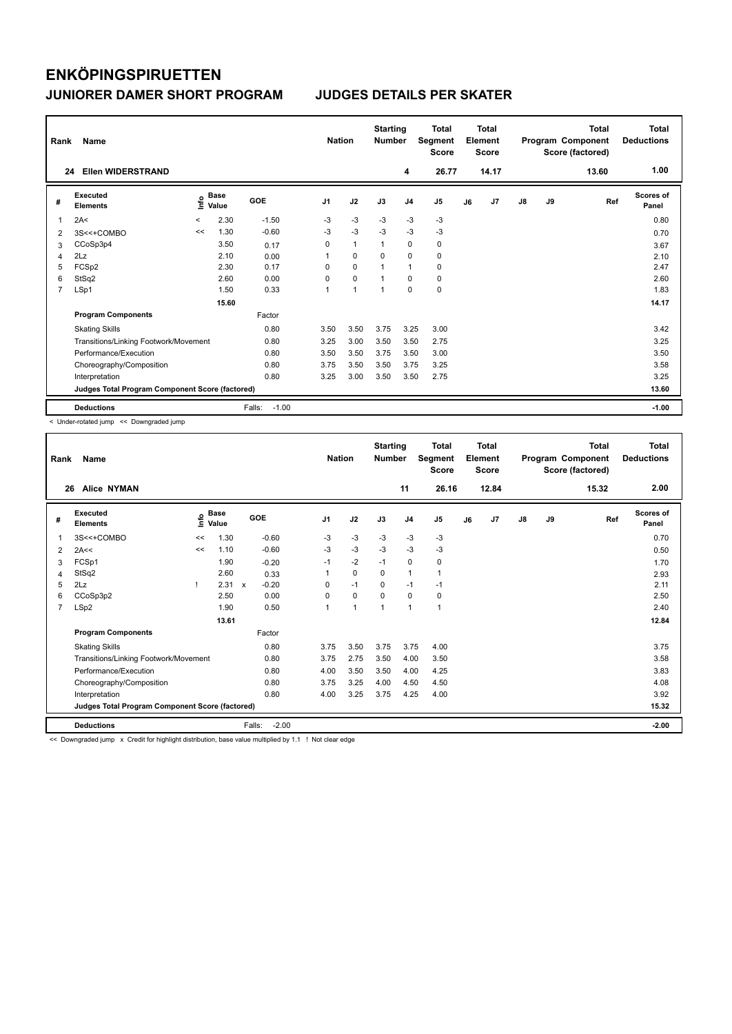| Rank           | <b>Name</b>                                     |         |                      |                   | <b>Nation</b>  |                |              |                | Total<br>Segment<br><b>Score</b> | <b>Total</b><br>Element<br>Score<br>14.17 |    |               |    | <b>Total</b><br>Program Component<br>Score (factored) | Total<br><b>Deductions</b> |
|----------------|-------------------------------------------------|---------|----------------------|-------------------|----------------|----------------|--------------|----------------|----------------------------------|-------------------------------------------|----|---------------|----|-------------------------------------------------------|----------------------------|
| 24             | <b>Ellen WIDERSTRAND</b>                        |         |                      |                   |                |                |              | 4              | 26.77                            |                                           |    |               |    | 13.60                                                 | 1.00                       |
| #              | Executed<br><b>Elements</b>                     | ١nf٥    | <b>Base</b><br>Value | <b>GOE</b>        | J <sub>1</sub> | J2             | J3           | J <sub>4</sub> | J <sub>5</sub>                   | J6                                        | J7 | $\mathsf{J}8$ | J9 | Ref                                                   | <b>Scores of</b><br>Panel  |
| $\overline{1}$ | 2A<                                             | $\prec$ | 2.30                 | $-1.50$           | $-3$           | $-3$           | $-3$         | $-3$           | $-3$                             |                                           |    |               |    |                                                       | 0.80                       |
| 2              | 3S<<+COMBO                                      | <<      | 1.30                 | $-0.60$           | $-3$           | $-3$           | $-3$         | $-3$           | $-3$                             |                                           |    |               |    |                                                       | 0.70                       |
| 3              | CCoSp3p4                                        |         | 3.50                 | 0.17              | 0              | $\mathbf{1}$   | $\mathbf{1}$ | $\mathbf 0$    | $\mathbf 0$                      |                                           |    |               |    |                                                       | 3.67                       |
| $\overline{4}$ | 2Lz                                             |         | 2.10                 | 0.00              | 1              | $\mathbf 0$    | $\mathbf 0$  | $\mathbf 0$    | 0                                |                                           |    |               |    |                                                       | 2.10                       |
| 5              | FCSp2                                           |         | 2.30                 | 0.17              | $\Omega$       | $\mathbf 0$    |              | $\mathbf{1}$   | 0                                |                                           |    |               |    |                                                       | 2.47                       |
| 6              | StSq2                                           |         | 2.60                 | 0.00              | 0              | $\mathbf 0$    |              | $\mathbf 0$    | 0                                |                                           |    |               |    |                                                       | 2.60                       |
| $\overline{7}$ | LSp1                                            |         | 1.50                 | 0.33              | 1              | $\overline{1}$ |              | $\mathbf 0$    | $\pmb{0}$                        |                                           |    |               |    |                                                       | 1.83                       |
|                |                                                 |         | 15.60                |                   |                |                |              |                |                                  |                                           |    |               |    |                                                       | 14.17                      |
|                | <b>Program Components</b>                       |         |                      | Factor            |                |                |              |                |                                  |                                           |    |               |    |                                                       |                            |
|                | <b>Skating Skills</b>                           |         |                      | 0.80              | 3.50           | 3.50           | 3.75         | 3.25           | 3.00                             |                                           |    |               |    |                                                       | 3.42                       |
|                | Transitions/Linking Footwork/Movement           |         |                      | 0.80              | 3.25           | 3.00           | 3.50         | 3.50           | 2.75                             |                                           |    |               |    |                                                       | 3.25                       |
|                | Performance/Execution                           |         |                      | 0.80              | 3.50           | 3.50           | 3.75         | 3.50           | 3.00                             |                                           |    |               |    |                                                       | 3.50                       |
|                | Choreography/Composition                        |         |                      | 0.80              | 3.75           | 3.50           | 3.50         | 3.75           | 3.25                             |                                           |    |               |    |                                                       | 3.58                       |
|                | Interpretation                                  |         |                      | 0.80              | 3.25           | 3.00           | 3.50         | 3.50           | 2.75                             |                                           |    |               |    |                                                       | 3.25                       |
|                | Judges Total Program Component Score (factored) |         |                      |                   |                |                |              |                |                                  |                                           |    |               |    |                                                       | 13.60                      |
|                | <b>Deductions</b>                               |         |                      | Falls:<br>$-1.00$ |                |                |              |                |                                  |                                           |    |               |    |                                                       | $-1.00$                    |

< Under-rotated jump << Downgraded jump

| Rank           | Name                                            |    | <b>Nation</b>        | <b>Starting</b><br><b>Number</b> |                | <b>Total</b><br>Segment<br><b>Score</b> |                | <b>Total</b><br>Element<br><b>Score</b> |                |    | <b>Total</b><br>Program Component<br>Score (factored) | <b>Total</b><br><b>Deductions</b> |    |       |                    |
|----------------|-------------------------------------------------|----|----------------------|----------------------------------|----------------|-----------------------------------------|----------------|-----------------------------------------|----------------|----|-------------------------------------------------------|-----------------------------------|----|-------|--------------------|
| 26             | <b>Alice NYMAN</b>                              |    |                      |                                  |                |                                         |                | 11                                      | 26.16          |    | 12.84                                                 |                                   |    | 15.32 | 2.00               |
| #              | Executed<br><b>Elements</b>                     | ۴o | <b>Base</b><br>Value | <b>GOE</b>                       | J <sub>1</sub> | J2                                      | J3             | J <sub>4</sub>                          | J <sub>5</sub> | J6 | J7                                                    | $\mathsf{J}8$                     | J9 | Ref   | Scores of<br>Panel |
| 1              | 3S<<+COMBO                                      | << | 1.30                 | $-0.60$                          | -3             | $-3$                                    | -3             | $-3$                                    | $-3$           |    |                                                       |                                   |    |       | 0.70               |
| $\overline{2}$ | 2A<<                                            | << | 1.10                 | $-0.60$                          | $-3$           | $-3$                                    | $-3$           | $-3$                                    | $-3$           |    |                                                       |                                   |    |       | 0.50               |
| 3              | FCSp1                                           |    | 1.90                 | $-0.20$                          | $-1$           | $-2$                                    | $-1$           | 0                                       | 0              |    |                                                       |                                   |    |       | 1.70               |
| 4              | StSq2                                           |    | 2.60                 | 0.33                             | 1              | $\mathbf 0$                             | 0              | $\mathbf{1}$                            | 1              |    |                                                       |                                   |    |       | 2.93               |
| 5              | 2Lz                                             |    | 2.31                 | $-0.20$<br>$\mathbf{x}$          | $\Omega$       | $-1$                                    | $\Omega$       | $-1$                                    | $-1$           |    |                                                       |                                   |    |       | 2.11               |
| 6              | CCoSp3p2                                        |    | 2.50                 | 0.00                             | 0              | $\mathbf 0$                             | $\mathbf 0$    | $\mathbf 0$                             | $\pmb{0}$      |    |                                                       |                                   |    |       | 2.50               |
| $\overline{7}$ | LSp2                                            |    | 1.90                 | 0.50                             | 1              | $\mathbf{1}$                            | $\overline{1}$ | $\mathbf{1}$                            | 1              |    |                                                       |                                   |    |       | 2.40               |
|                |                                                 |    | 13.61                |                                  |                |                                         |                |                                         |                |    |                                                       |                                   |    |       | 12.84              |
|                | <b>Program Components</b>                       |    |                      | Factor                           |                |                                         |                |                                         |                |    |                                                       |                                   |    |       |                    |
|                | <b>Skating Skills</b>                           |    |                      | 0.80                             | 3.75           | 3.50                                    | 3.75           | 3.75                                    | 4.00           |    |                                                       |                                   |    |       | 3.75               |
|                | Transitions/Linking Footwork/Movement           |    |                      | 0.80                             | 3.75           | 2.75                                    | 3.50           | 4.00                                    | 3.50           |    |                                                       |                                   |    |       | 3.58               |
|                | Performance/Execution                           |    |                      | 0.80                             | 4.00           | 3.50                                    | 3.50           | 4.00                                    | 4.25           |    |                                                       |                                   |    |       | 3.83               |
|                | Choreography/Composition                        |    |                      | 0.80                             | 3.75           | 3.25                                    | 4.00           | 4.50                                    | 4.50           |    |                                                       |                                   |    |       | 4.08               |
|                | Interpretation                                  |    |                      | 0.80                             | 4.00           | 3.25                                    | 3.75           | 4.25                                    | 4.00           |    |                                                       |                                   |    |       | 3.92               |
|                | Judges Total Program Component Score (factored) |    |                      |                                  |                |                                         |                |                                         |                |    |                                                       |                                   |    |       | 15.32              |
|                | <b>Deductions</b>                               |    |                      | Falls:<br>$-2.00$                |                |                                         |                |                                         |                |    |                                                       |                                   |    |       | $-2.00$            |

<< Downgraded jump x Credit for highlight distribution, base value multiplied by 1.1 ! Not clear edge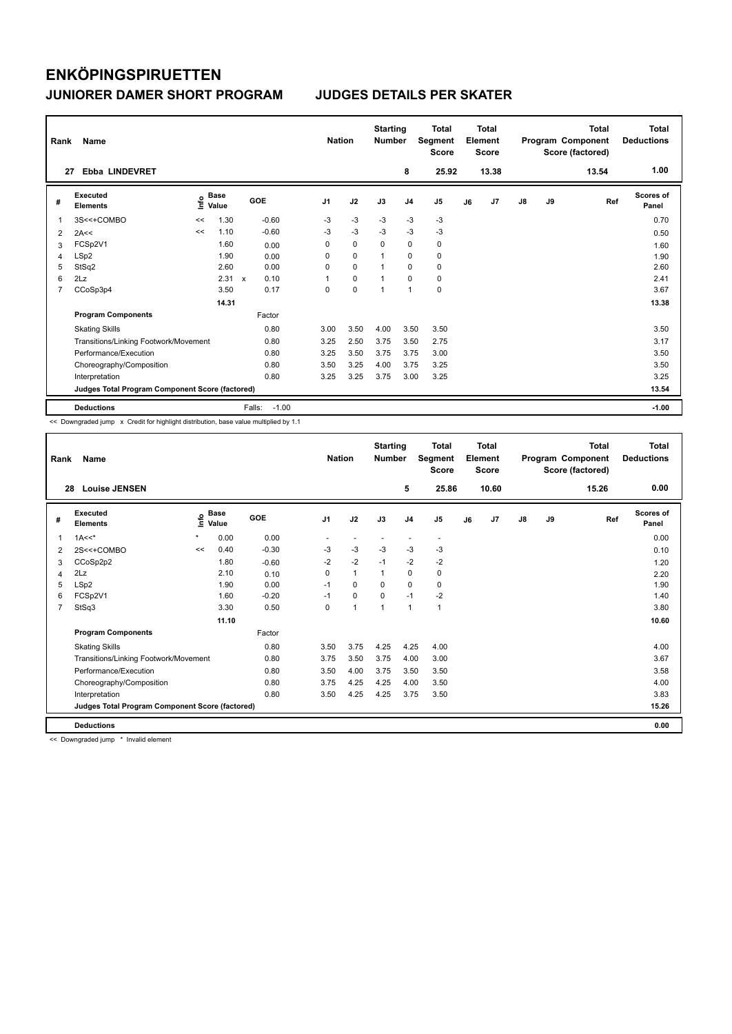| Rank           | Name                                            |      | <b>Nation</b> |              |            | <b>Total</b><br>Segment<br><b>Score</b> | Total<br>Element<br><b>Score</b> |      |                |                | Total<br>Program Component<br>Score (factored) | <b>Total</b><br><b>Deductions</b> |               |    |       |                           |
|----------------|-------------------------------------------------|------|---------------|--------------|------------|-----------------------------------------|----------------------------------|------|----------------|----------------|------------------------------------------------|-----------------------------------|---------------|----|-------|---------------------------|
| 27             | <b>Ebba LINDEVRET</b>                           |      |               |              |            |                                         |                                  |      | 8              | 25.92          |                                                | 13.38                             |               |    | 13.54 | 1.00                      |
| #              | Executed<br><b>Elements</b>                     | lnfo | Base<br>Value |              | <b>GOE</b> | J <sub>1</sub>                          | J2                               | J3   | J <sub>4</sub> | J <sub>5</sub> | J6                                             | J7                                | $\mathsf{J}8$ | J9 | Ref   | <b>Scores of</b><br>Panel |
| 1              | 3S<<+COMBO                                      | <<   | 1.30          |              | $-0.60$    | $-3$                                    | $-3$                             | $-3$ | $-3$           | $-3$           |                                                |                                   |               |    |       | 0.70                      |
| 2              | 2A<<                                            | <<   | 1.10          |              | $-0.60$    | $-3$                                    | $-3$                             | $-3$ | $-3$           | $-3$           |                                                |                                   |               |    |       | 0.50                      |
| 3              | FCSp2V1                                         |      | 1.60          |              | 0.00       | 0                                       | $\pmb{0}$                        | 0    | $\mathbf 0$    | 0              |                                                |                                   |               |    |       | 1.60                      |
| 4              | LSp2                                            |      | 1.90          |              | 0.00       | 0                                       | $\mathbf 0$                      |      | 0              | 0              |                                                |                                   |               |    |       | 1.90                      |
| 5              | StSq2                                           |      | 2.60          |              | 0.00       | 0                                       | $\mathbf 0$                      |      | 0              | 0              |                                                |                                   |               |    |       | 2.60                      |
| 6              | 2Lz                                             |      | 2.31          | $\mathsf{x}$ | 0.10       | 1                                       | $\mathbf 0$                      |      | $\mathbf 0$    | 0              |                                                |                                   |               |    |       | 2.41                      |
| $\overline{7}$ | CCoSp3p4                                        |      | 3.50          |              | 0.17       | $\Omega$                                | $\mathbf 0$                      |      | $\mathbf{1}$   | $\mathbf 0$    |                                                |                                   |               |    |       | 3.67                      |
|                |                                                 |      | 14.31         |              |            |                                         |                                  |      |                |                |                                                |                                   |               |    |       | 13.38                     |
|                | <b>Program Components</b>                       |      |               |              | Factor     |                                         |                                  |      |                |                |                                                |                                   |               |    |       |                           |
|                | <b>Skating Skills</b>                           |      |               |              | 0.80       | 3.00                                    | 3.50                             | 4.00 | 3.50           | 3.50           |                                                |                                   |               |    |       | 3.50                      |
|                | Transitions/Linking Footwork/Movement           |      |               |              | 0.80       | 3.25                                    | 2.50                             | 3.75 | 3.50           | 2.75           |                                                |                                   |               |    |       | 3.17                      |
|                | Performance/Execution                           |      |               |              | 0.80       | 3.25                                    | 3.50                             | 3.75 | 3.75           | 3.00           |                                                |                                   |               |    |       | 3.50                      |
|                | Choreography/Composition                        |      |               |              | 0.80       | 3.50                                    | 3.25                             | 4.00 | 3.75           | 3.25           |                                                |                                   |               |    |       | 3.50                      |
|                | Interpretation                                  |      |               |              | 0.80       | 3.25                                    | 3.25                             | 3.75 | 3.00           | 3.25           |                                                |                                   |               |    |       | 3.25                      |
|                | Judges Total Program Component Score (factored) |      |               |              |            |                                         |                                  |      |                |                |                                                |                                   |               |    |       | 13.54                     |
|                | <b>Deductions</b>                               |      |               | Falls:       | $-1.00$    |                                         |                                  |      |                |                |                                                |                                   |               |    |       | $-1.00$                   |

<< Downgraded jump x Credit for highlight distribution, base value multiplied by 1.1

| Rank           | Name                                            |         | <b>Nation</b>        |         |                | <b>Total</b><br>Segment<br><b>Score</b> |          | Total<br>Element<br><b>Score</b> |                          |    | Total<br>Program Component<br>Score (factored) | <b>Total</b><br><b>Deductions</b> |    |       |                           |
|----------------|-------------------------------------------------|---------|----------------------|---------|----------------|-----------------------------------------|----------|----------------------------------|--------------------------|----|------------------------------------------------|-----------------------------------|----|-------|---------------------------|
| 28             | <b>Louise JENSEN</b>                            |         |                      |         |                |                                         |          | 5                                | 25.86                    |    | 10.60                                          |                                   |    | 15.26 | 0.00                      |
| #              | Executed<br><b>Elements</b>                     | ١nfo    | <b>Base</b><br>Value | GOE     | J <sub>1</sub> | J2                                      | J3       | J <sub>4</sub>                   | J <sub>5</sub>           | J6 | J <sub>7</sub>                                 | $\mathsf{J}8$                     | J9 | Ref   | <b>Scores of</b><br>Panel |
| 1              | $1A<<^*$                                        | $\star$ | 0.00                 | 0.00    |                |                                         |          |                                  | $\overline{\phantom{a}}$ |    |                                                |                                   |    |       | 0.00                      |
| 2              | 2S<<+COMBO                                      | <<      | 0.40                 | $-0.30$ | $-3$           | $-3$                                    | $-3$     | $-3$                             | $-3$                     |    |                                                |                                   |    |       | 0.10                      |
| 3              | CCoSp2p2                                        |         | 1.80                 | $-0.60$ | $-2$           | $-2$                                    | $-1$     | $-2$                             | $-2$                     |    |                                                |                                   |    |       | 1.20                      |
| 4              | 2Lz                                             |         | 2.10                 | 0.10    | $\Omega$       | $\mathbf{1}$                            | 1        | $\mathbf 0$                      | 0                        |    |                                                |                                   |    |       | 2.20                      |
| 5              | LSp2                                            |         | 1.90                 | 0.00    | $-1$           | $\Omega$                                | $\Omega$ | $\Omega$                         | 0                        |    |                                                |                                   |    |       | 1.90                      |
| 6              | FCSp2V1                                         |         | 1.60                 | $-0.20$ | $-1$           | 0                                       | $\Omega$ | $-1$                             | $-2$                     |    |                                                |                                   |    |       | 1.40                      |
| $\overline{7}$ | StSq3                                           |         | 3.30                 | 0.50    | $\Omega$       | $\mathbf{1}$                            | 1        | $\mathbf{1}$                     | $\mathbf{1}$             |    |                                                |                                   |    |       | 3.80                      |
|                |                                                 |         | 11.10                |         |                |                                         |          |                                  |                          |    |                                                |                                   |    |       | 10.60                     |
|                | <b>Program Components</b>                       |         |                      | Factor  |                |                                         |          |                                  |                          |    |                                                |                                   |    |       |                           |
|                | <b>Skating Skills</b>                           |         |                      | 0.80    | 3.50           | 3.75                                    | 4.25     | 4.25                             | 4.00                     |    |                                                |                                   |    |       | 4.00                      |
|                | Transitions/Linking Footwork/Movement           |         |                      | 0.80    | 3.75           | 3.50                                    | 3.75     | 4.00                             | 3.00                     |    |                                                |                                   |    |       | 3.67                      |
|                | Performance/Execution                           |         |                      | 0.80    | 3.50           | 4.00                                    | 3.75     | 3.50                             | 3.50                     |    |                                                |                                   |    |       | 3.58                      |
|                | Choreography/Composition                        |         |                      | 0.80    | 3.75           | 4.25                                    | 4.25     | 4.00                             | 3.50                     |    |                                                |                                   |    |       | 4.00                      |
|                | Interpretation                                  |         |                      | 0.80    | 3.50           | 4.25                                    | 4.25     | 3.75                             | 3.50                     |    |                                                |                                   |    |       | 3.83                      |
|                | Judges Total Program Component Score (factored) |         |                      |         |                |                                         |          |                                  |                          |    |                                                |                                   |    |       | 15.26                     |
|                | <b>Deductions</b>                               |         |                      |         |                |                                         |          |                                  |                          |    |                                                |                                   |    |       | 0.00                      |

<< Downgraded jump \* Invalid element

I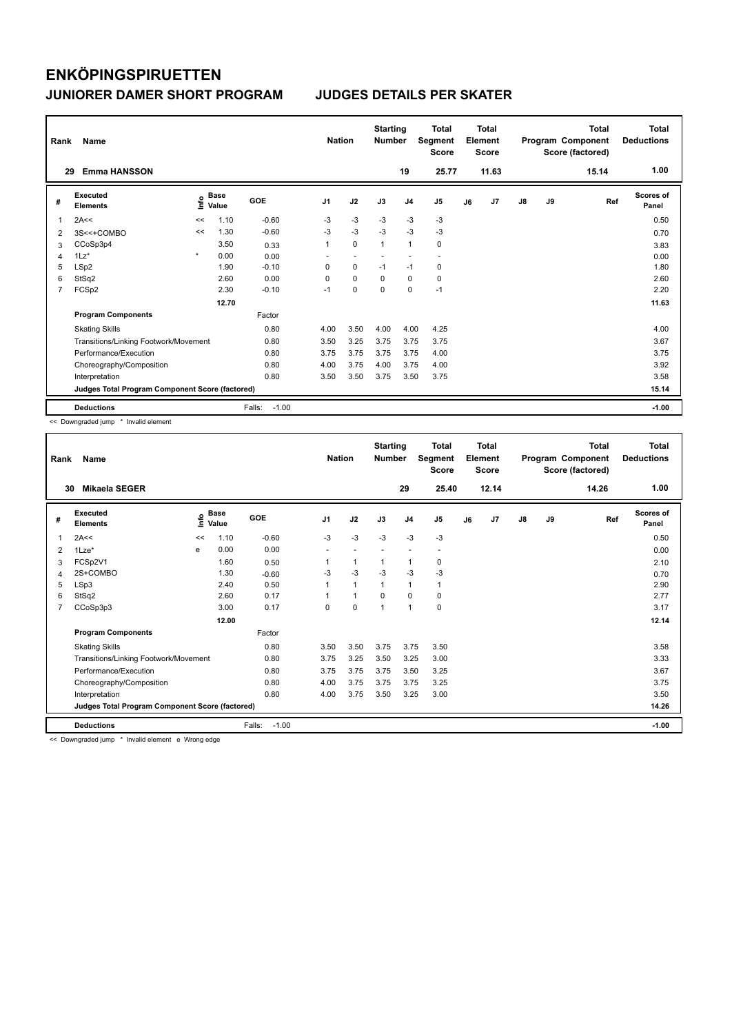| Rank | Name                                            |         |                      |                   | <b>Nation</b>  |                          | <b>Starting</b><br><b>Number</b> |                | <b>Total</b><br>Segment<br><b>Score</b> |    | Total<br>Element<br>Score |               |    | <b>Total</b><br>Program Component<br>Score (factored) | Total<br><b>Deductions</b> |
|------|-------------------------------------------------|---------|----------------------|-------------------|----------------|--------------------------|----------------------------------|----------------|-----------------------------------------|----|---------------------------|---------------|----|-------------------------------------------------------|----------------------------|
| 29   | <b>Emma HANSSON</b>                             |         |                      |                   |                |                          |                                  | 19             | 25.77                                   |    | 11.63                     |               |    | 15.14                                                 | 1.00                       |
| #    | Executed<br><b>Elements</b>                     | ۴۵      | <b>Base</b><br>Value | GOE               | J <sub>1</sub> | J2                       | J3                               | J <sub>4</sub> | J <sub>5</sub>                          | J6 | J7                        | $\mathsf{J}8$ | J9 | Ref                                                   | <b>Scores of</b><br>Panel  |
| 1    | 2A<<                                            | <<      | 1.10                 | $-0.60$           | $-3$           | $-3$                     | $-3$                             | $-3$           | $-3$                                    |    |                           |               |    |                                                       | 0.50                       |
| 2    | 3S<<+COMBO                                      | <<      | 1.30                 | $-0.60$           | $-3$           | $-3$                     | $-3$                             | $-3$           | $-3$                                    |    |                           |               |    |                                                       | 0.70                       |
| 3    | CCoSp3p4                                        |         | 3.50                 | 0.33              | 1              | $\mathbf 0$              | $\mathbf{1}$                     | $\mathbf{1}$   | $\mathbf 0$                             |    |                           |               |    |                                                       | 3.83                       |
| 4    | $1\text{Lz}^*$                                  | $\star$ | 0.00                 | 0.00              | ٠              | $\overline{\phantom{a}}$ |                                  |                | $\overline{\phantom{a}}$                |    |                           |               |    |                                                       | 0.00                       |
| 5    | LSp2                                            |         | 1.90                 | $-0.10$           | 0              | $\mathbf 0$              | $-1$                             | $-1$           | 0                                       |    |                           |               |    |                                                       | 1.80                       |
| 6    | StSq2                                           |         | 2.60                 | 0.00              | 0              | $\mathbf 0$              | 0                                | $\mathbf 0$    | $\mathbf 0$                             |    |                           |               |    |                                                       | 2.60                       |
| 7    | FCSp2                                           |         | 2.30                 | $-0.10$           | $-1$           | $\mathbf 0$              | $\mathbf 0$                      | $\mathbf 0$    | $-1$                                    |    |                           |               |    |                                                       | 2.20                       |
|      |                                                 |         | 12.70                |                   |                |                          |                                  |                |                                         |    |                           |               |    |                                                       | 11.63                      |
|      | <b>Program Components</b>                       |         |                      | Factor            |                |                          |                                  |                |                                         |    |                           |               |    |                                                       |                            |
|      | <b>Skating Skills</b>                           |         |                      | 0.80              | 4.00           | 3.50                     | 4.00                             | 4.00           | 4.25                                    |    |                           |               |    |                                                       | 4.00                       |
|      | Transitions/Linking Footwork/Movement           |         |                      | 0.80              | 3.50           | 3.25                     | 3.75                             | 3.75           | 3.75                                    |    |                           |               |    |                                                       | 3.67                       |
|      | Performance/Execution                           |         |                      | 0.80              | 3.75           | 3.75                     | 3.75                             | 3.75           | 4.00                                    |    |                           |               |    |                                                       | 3.75                       |
|      | Choreography/Composition                        |         |                      | 0.80              | 4.00           | 3.75                     | 4.00                             | 3.75           | 4.00                                    |    |                           |               |    |                                                       | 3.92                       |
|      | Interpretation                                  |         |                      | 0.80              | 3.50           | 3.50                     | 3.75                             | 3.50           | 3.75                                    |    |                           |               |    |                                                       | 3.58                       |
|      | Judges Total Program Component Score (factored) |         |                      |                   |                |                          |                                  |                |                                         |    |                           |               |    |                                                       | 15.14                      |
|      | <b>Deductions</b>                               |         |                      | $-1.00$<br>Falls: |                |                          |                                  |                |                                         |    |                           |               |    |                                                       | $-1.00$                    |

<< Downgraded jump \* Invalid element

| Rank           | Name                                            |    | <b>Nation</b>        | <b>Starting</b><br><b>Number</b> |                | <b>Total</b><br>Segment<br><b>Score</b> |          | Total<br>Element<br><b>Score</b> |       |    | <b>Total</b><br>Program Component<br>Score (factored) | <b>Total</b><br><b>Deductions</b> |    |       |                           |
|----------------|-------------------------------------------------|----|----------------------|----------------------------------|----------------|-----------------------------------------|----------|----------------------------------|-------|----|-------------------------------------------------------|-----------------------------------|----|-------|---------------------------|
| 30             | <b>Mikaela SEGER</b>                            |    |                      |                                  |                |                                         |          | 29                               | 25.40 |    | 12.14                                                 |                                   |    | 14.26 | 1.00                      |
| #              | Executed<br><b>Elements</b>                     | ۴  | <b>Base</b><br>Value | GOE                              | J <sub>1</sub> | J2                                      | J3       | J <sub>4</sub>                   | J5    | J6 | J7                                                    | $\mathsf{J}8$                     | J9 | Ref   | <b>Scores of</b><br>Panel |
| 1              | 2A<<                                            | << | 1.10                 | $-0.60$                          | $-3$           | $-3$                                    | $-3$     | $-3$                             | $-3$  |    |                                                       |                                   |    |       | 0.50                      |
| 2              | $1$ Lze $*$                                     | e  | 0.00                 | 0.00                             |                |                                         |          |                                  |       |    |                                                       |                                   |    |       | 0.00                      |
| 3              | FCSp2V1                                         |    | 1.60                 | 0.50                             |                | $\mathbf{1}$                            |          | 1                                | 0     |    |                                                       |                                   |    |       | 2.10                      |
| 4              | 2S+COMBO                                        |    | 1.30                 | $-0.60$                          | $-3$           | $-3$                                    | $-3$     | $-3$                             | $-3$  |    |                                                       |                                   |    |       | 0.70                      |
| 5              | LSp3                                            |    | 2.40                 | 0.50                             |                | $\mathbf{1}$                            |          | 1                                | 1     |    |                                                       |                                   |    |       | 2.90                      |
| 6              | StSq2                                           |    | 2.60                 | 0.17                             |                | $\mathbf{1}$                            | $\Omega$ | $\mathbf 0$                      | 0     |    |                                                       |                                   |    |       | 2.77                      |
| $\overline{7}$ | CCoSp3p3                                        |    | 3.00                 | 0.17                             | $\Omega$       | $\Omega$                                | 1        | $\mathbf{1}$                     | 0     |    |                                                       |                                   |    |       | 3.17                      |
|                |                                                 |    | 12.00                |                                  |                |                                         |          |                                  |       |    |                                                       |                                   |    |       | 12.14                     |
|                | <b>Program Components</b>                       |    |                      | Factor                           |                |                                         |          |                                  |       |    |                                                       |                                   |    |       |                           |
|                | <b>Skating Skills</b>                           |    |                      | 0.80                             | 3.50           | 3.50                                    | 3.75     | 3.75                             | 3.50  |    |                                                       |                                   |    |       | 3.58                      |
|                | Transitions/Linking Footwork/Movement           |    |                      | 0.80                             | 3.75           | 3.25                                    | 3.50     | 3.25                             | 3.00  |    |                                                       |                                   |    |       | 3.33                      |
|                | Performance/Execution                           |    |                      | 0.80                             | 3.75           | 3.75                                    | 3.75     | 3.50                             | 3.25  |    |                                                       |                                   |    |       | 3.67                      |
|                | Choreography/Composition                        |    |                      | 0.80                             | 4.00           | 3.75                                    | 3.75     | 3.75                             | 3.25  |    |                                                       |                                   |    |       | 3.75                      |
|                | Interpretation                                  |    |                      | 0.80                             | 4.00           | 3.75                                    | 3.50     | 3.25                             | 3.00  |    |                                                       |                                   |    |       | 3.50                      |
|                | Judges Total Program Component Score (factored) |    |                      |                                  |                |                                         |          |                                  |       |    |                                                       |                                   |    |       | 14.26                     |
|                | <b>Deductions</b>                               |    |                      | Falls:<br>$-1.00$                |                |                                         |          |                                  |       |    |                                                       |                                   |    |       | $-1.00$                   |
|                |                                                 |    |                      |                                  |                |                                         |          |                                  |       |    |                                                       |                                   |    |       |                           |

<< Downgraded jump \* Invalid element e Wrong edge